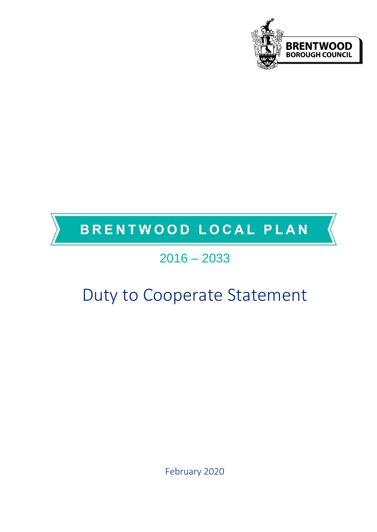

# BRENTWOOD LOCAL PLAN

# 2016 – 2033

# Duty to Cooperate Statement

February 2020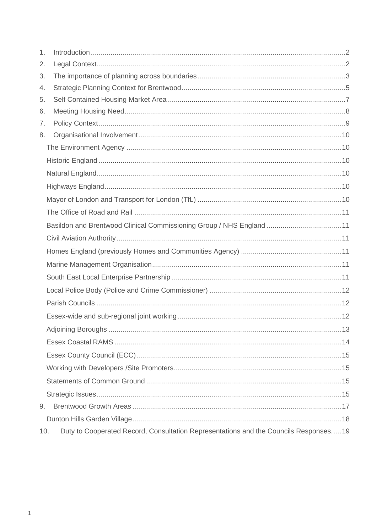| 1.  |                                                                                      |
|-----|--------------------------------------------------------------------------------------|
| 2.  |                                                                                      |
| 3.  |                                                                                      |
| 4.  |                                                                                      |
| 5.  |                                                                                      |
| 6.  |                                                                                      |
| 7.  |                                                                                      |
| 8.  |                                                                                      |
|     |                                                                                      |
|     |                                                                                      |
|     |                                                                                      |
|     |                                                                                      |
|     |                                                                                      |
|     |                                                                                      |
|     | Basildon and Brentwood Clinical Commissioning Group / NHS England 11                 |
|     |                                                                                      |
|     |                                                                                      |
|     |                                                                                      |
|     |                                                                                      |
|     |                                                                                      |
|     |                                                                                      |
|     |                                                                                      |
|     | 13                                                                                   |
|     |                                                                                      |
|     |                                                                                      |
|     |                                                                                      |
|     |                                                                                      |
|     |                                                                                      |
| 9.  |                                                                                      |
|     |                                                                                      |
| 10. | Duty to Cooperated Record, Consultation Representations and the Councils Responses19 |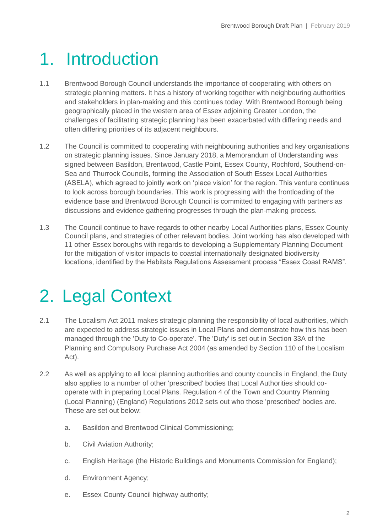# <span id="page-2-0"></span>1. Introduction

- 1.1 Brentwood Borough Council understands the importance of cooperating with others on strategic planning matters. It has a history of working together with neighbouring authorities and stakeholders in plan-making and this continues today. With Brentwood Borough being geographically placed in the western area of Essex adjoining Greater London, the challenges of facilitating strategic planning has been exacerbated with differing needs and often differing priorities of its adjacent neighbours.
- 1.2 The Council is committed to cooperating with neighbouring authorities and key organisations on strategic planning issues. Since January 2018, a Memorandum of Understanding was signed between Basildon, Brentwood, Castle Point, Essex County, Rochford, Southend-on-Sea and Thurrock Councils, forming the Association of South Essex Local Authorities (ASELA), which agreed to jointly work on 'place vision' for the region. This venture continues to look across borough boundaries. This work is progressing with the frontloading of the evidence base and Brentwood Borough Council is committed to engaging with partners as discussions and evidence gathering progresses through the plan-making process.
- 1.3 The Council continue to have regards to other nearby Local Authorities plans, Essex County Council plans, and strategies of other relevant bodies. Joint working has also developed with 11 other Essex boroughs with regards to developing a Supplementary Planning Document for the mitigation of visitor impacts to coastal internationally designated biodiversity locations, identified by the Habitats Regulations Assessment process "Essex Coast RAMS".

# <span id="page-2-1"></span>2. Legal Context

- 2.1 The Localism Act 2011 makes strategic planning the responsibility of local authorities, which are expected to address strategic issues in Local Plans and demonstrate how this has been managed through the 'Duty to Co-operate'. The 'Duty' is set out in Section 33A of the Planning and Compulsory Purchase Act 2004 (as amended by Section 110 of the Localism Act).
- 2.2 As well as applying to all local planning authorities and county councils in England, the Duty also applies to a number of other 'prescribed' bodies that Local Authorities should cooperate with in preparing Local Plans. Regulation 4 of the Town and Country Planning (Local Planning) (England) Regulations 2012 sets out who those 'prescribed' bodies are. These are set out below:
	- a. Basildon and Brentwood Clinical Commissioning;
	- b. Civil Aviation Authority;
	- c. English Heritage (the Historic Buildings and Monuments Commission for England);
	- d. Environment Agency;
	- e. Essex County Council highway authority;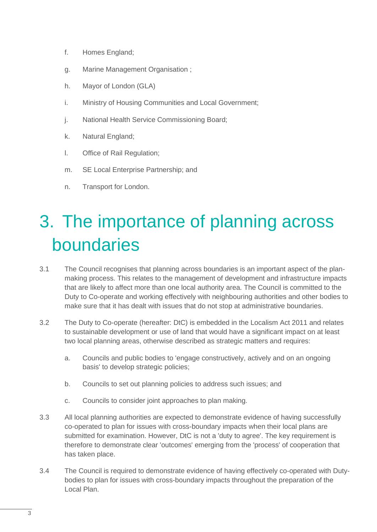- f. Homes England;
- g. Marine Management Organisation ;
- h. Mayor of London (GLA)
- i. Ministry of Housing Communities and Local Government;
- j. National Health Service Commissioning Board;
- k. Natural England;
- l. Office of Rail Regulation;
- m. SE Local Enterprise Partnership; and
- n. Transport for London.

# <span id="page-3-0"></span>3. The importance of planning across boundaries

- 3.1 The Council recognises that planning across boundaries is an important aspect of the planmaking process. This relates to the management of development and infrastructure impacts that are likely to affect more than one local authority area. The Council is committed to the Duty to Co-operate and working effectively with neighbouring authorities and other bodies to make sure that it has dealt with issues that do not stop at administrative boundaries.
- 3.2 The Duty to Co-operate (hereafter: DtC) is embedded in the Localism Act 2011 and relates to sustainable development or use of land that would have a significant impact on at least two local planning areas, otherwise described as strategic matters and requires:
	- a. Councils and public bodies to 'engage constructively, actively and on an ongoing basis' to develop strategic policies;
	- b. Councils to set out planning policies to address such issues; and
	- c. Councils to consider joint approaches to plan making.
- 3.3 All local planning authorities are expected to demonstrate evidence of having successfully co-operated to plan for issues with cross-boundary impacts when their local plans are submitted for examination. However, DtC is not a 'duty to agree'. The key requirement is therefore to demonstrate clear 'outcomes' emerging from the 'process' of cooperation that has taken place.
- 3.4 The Council is required to demonstrate evidence of having effectively co-operated with Dutybodies to plan for issues with cross-boundary impacts throughout the preparation of the Local Plan.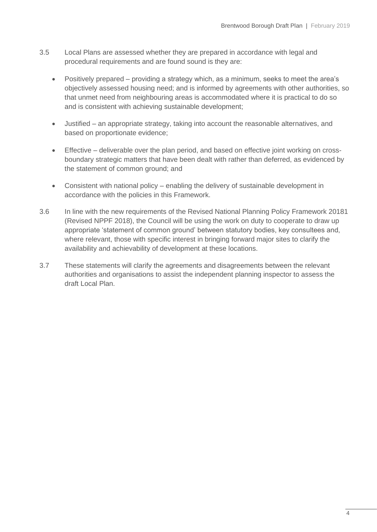- 3.5 Local Plans are assessed whether they are prepared in accordance with legal and procedural requirements and are found sound is they are:
	- Positively prepared providing a strategy which, as a minimum, seeks to meet the area's objectively assessed housing need; and is informed by agreements with other authorities, so that unmet need from neighbouring areas is accommodated where it is practical to do so and is consistent with achieving sustainable development;
	- Justified an appropriate strategy, taking into account the reasonable alternatives, and based on proportionate evidence;
	- Effective deliverable over the plan period, and based on effective joint working on crossboundary strategic matters that have been dealt with rather than deferred, as evidenced by the statement of common ground; and
	- Consistent with national policy enabling the delivery of sustainable development in accordance with the policies in this Framework.
- 3.6 In line with the new requirements of the Revised National Planning Policy Framework 20181 (Revised NPPF 2018), the Council will be using the work on duty to cooperate to draw up appropriate 'statement of common ground' between statutory bodies, key consultees and, where relevant, those with specific interest in bringing forward major sites to clarify the availability and achievability of development at these locations.
- 3.7 These statements will clarify the agreements and disagreements between the relevant authorities and organisations to assist the independent planning inspector to assess the draft Local Plan.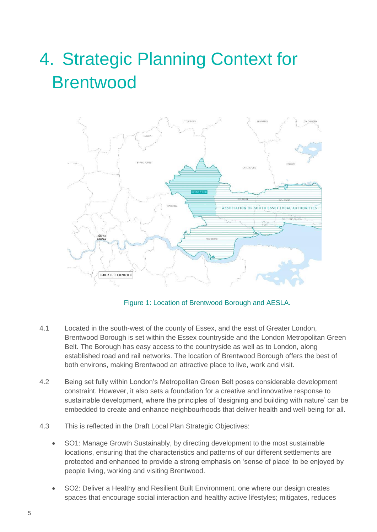# <span id="page-5-0"></span>4. Strategic Planning Context for **Brentwood**



Figure 1: Location of Brentwood Borough and AESLA.

- 4.1 Located in the south-west of the county of Essex, and the east of Greater London, Brentwood Borough is set within the Essex countryside and the London Metropolitan Green Belt. The Borough has easy access to the countryside as well as to London, along established road and rail networks. The location of Brentwood Borough offers the best of both environs, making Brentwood an attractive place to live, work and visit.
- 4.2 Being set fully within London's Metropolitan Green Belt poses considerable development constraint. However, it also sets a foundation for a creative and innovative response to sustainable development, where the principles of 'designing and building with nature' can be embedded to create and enhance neighbourhoods that deliver health and well-being for all.
- 4.3 This is reflected in the Draft Local Plan Strategic Objectives:
	- SO1: Manage Growth Sustainably, by directing development to the most sustainable locations, ensuring that the characteristics and patterns of our different settlements are protected and enhanced to provide a strong emphasis on 'sense of place' to be enjoyed by people living, working and visiting Brentwood.
	- SO2: Deliver a Healthy and Resilient Built Environment, one where our design creates spaces that encourage social interaction and healthy active lifestyles; mitigates, reduces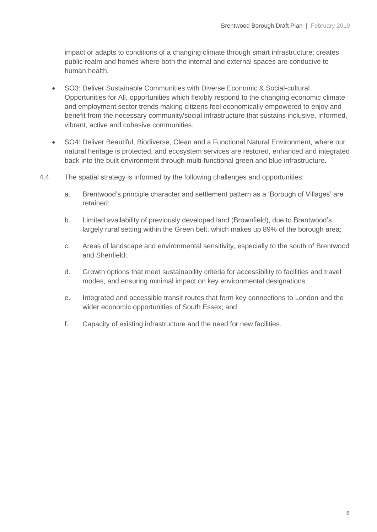impact or adapts to conditions of a changing climate through smart infrastructure; creates public realm and homes where both the internal and external spaces are conducive to human health.

- SO3: Deliver Sustainable Communities with Diverse Economic & Social-cultural Opportunities for All, opportunities which flexibly respond to the changing economic climate and employment sector trends making citizens feel economically empowered to enjoy and benefit from the necessary community/social infrastructure that sustains inclusive, informed, vibrant, active and cohesive communities.
- SO4: Deliver Beautiful, Biodiverse, Clean and a Functional Natural Environment, where our natural heritage is protected, and ecosystem services are restored, enhanced and integrated back into the built environment through multi-functional green and blue infrastructure.
- 4.4 The spatial strategy is informed by the following challenges and opportunities:
	- a. Brentwood's principle character and settlement pattern as a 'Borough of Villages' are retained;
	- b. Limited availability of previously developed land (Brownfield), due to Brentwood's largely rural setting within the Green belt, which makes up 89% of the borough area;
	- c. Areas of landscape and environmental sensitivity, especially to the south of Brentwood and Shenfield;
	- d. Growth options that meet sustainability criteria for accessibility to facilities and travel modes, and ensuring minimal impact on key environmental designations;
	- e. Integrated and accessible transit routes that form key connections to London and the wider economic opportunities of South Essex; and
	- f. Capacity of existing infrastructure and the need for new facilities.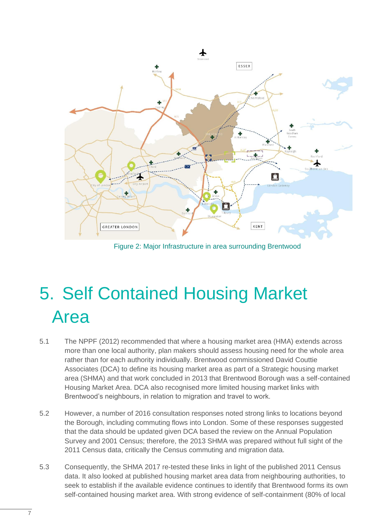

Figure 2: Major Infrastructure in area surrounding Brentwood

# <span id="page-7-0"></span>5. Self Contained Housing Market Area

- 5.1 The NPPF (2012) recommended that where a housing market area (HMA) extends across more than one local authority, plan makers should assess housing need for the whole area rather than for each authority individually. Brentwood commissioned David Couttie Associates (DCA) to define its housing market area as part of a Strategic housing market area (SHMA) and that work concluded in 2013 that Brentwood Borough was a self-contained Housing Market Area. DCA also recognised more limited housing market links with Brentwood's neighbours, in relation to migration and travel to work.
- 5.2 However, a number of 2016 consultation responses noted strong links to locations beyond the Borough, including commuting flows into London. Some of these responses suggested that the data should be updated given DCA based the review on the Annual Population Survey and 2001 Census; therefore, the 2013 SHMA was prepared without full sight of the 2011 Census data, critically the Census commuting and migration data.
- 5.3 Consequently, the SHMA 2017 re-tested these links in light of the published 2011 Census data. It also looked at published housing market area data from neighbouring authorities, to seek to establish if the available evidence continues to identify that Brentwood forms its own self-contained housing market area. With strong evidence of self-containment (80% of local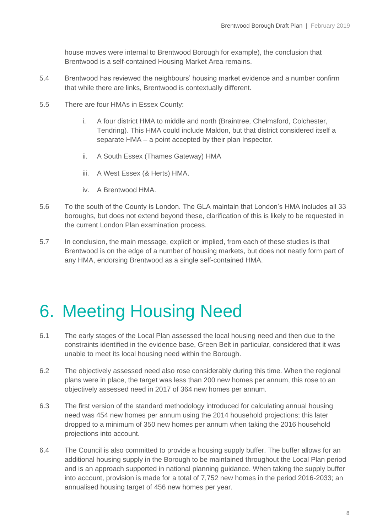house moves were internal to Brentwood Borough for example), the conclusion that Brentwood is a self-contained Housing Market Area remains.

- 5.4 Brentwood has reviewed the neighbours' housing market evidence and a number confirm that while there are links, Brentwood is contextually different.
- 5.5 There are four HMAs in Essex County:
	- i. A four district HMA to middle and north (Braintree, Chelmsford, Colchester, Tendring). This HMA could include Maldon, but that district considered itself a separate HMA – a point accepted by their plan Inspector.
	- ii. A South Essex (Thames Gateway) HMA
	- iii. A West Essex (& Herts) HMA.
	- iv. A Brentwood HMA.
- 5.6 To the south of the County is London. The GLA maintain that London's HMA includes all 33 boroughs, but does not extend beyond these, clarification of this is likely to be requested in the current London Plan examination process.
- 5.7 In conclusion, the main message, explicit or implied, from each of these studies is that Brentwood is on the edge of a number of housing markets, but does not neatly form part of any HMA, endorsing Brentwood as a single self-contained HMA.

# <span id="page-8-0"></span>6. Meeting Housing Need

- 6.1 The early stages of the Local Plan assessed the local housing need and then due to the constraints identified in the evidence base, Green Belt in particular, considered that it was unable to meet its local housing need within the Borough.
- 6.2 The objectively assessed need also rose considerably during this time. When the regional plans were in place, the target was less than 200 new homes per annum, this rose to an objectively assessed need in 2017 of 364 new homes per annum.
- 6.3 The first version of the standard methodology introduced for calculating annual housing need was 454 new homes per annum using the 2014 household projections; this later dropped to a minimum of 350 new homes per annum when taking the 2016 household projections into account.
- 6.4 The Council is also committed to provide a housing supply buffer. The buffer allows for an additional housing supply in the Borough to be maintained throughout the Local Plan period and is an approach supported in national planning guidance. When taking the supply buffer into account, provision is made for a total of 7,752 new homes in the period 2016-2033; an annualised housing target of 456 new homes per year.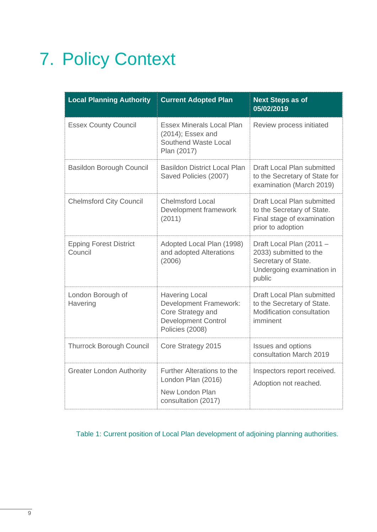# <span id="page-9-0"></span>7. Policy Context

| <b>Local Planning Authority</b>          | <b>Current Adopted Plan</b>                                                                                                  | <b>Next Steps as of</b><br>05/02/2019                                                                            |
|------------------------------------------|------------------------------------------------------------------------------------------------------------------------------|------------------------------------------------------------------------------------------------------------------|
| <b>Essex County Council</b>              | <b>Essex Minerals Local Plan</b><br>(2014); Essex and<br>Southend Waste Local<br>Plan (2017)                                 | Review process initiated                                                                                         |
| <b>Basildon Borough Council</b>          | <b>Basildon District Local Plan</b><br>Saved Policies (2007)                                                                 | <b>Draft Local Plan submitted</b><br>to the Secretary of State for<br>examination (March 2019)                   |
| <b>Chelmsford City Council</b>           | <b>Chelmsford Local</b><br>Development framework<br>(2011)                                                                   | Draft Local Plan submitted<br>to the Secretary of State.<br>Final stage of examination<br>prior to adoption      |
| <b>Epping Forest District</b><br>Council | Adopted Local Plan (1998)<br>and adopted Alterations<br>(2006)                                                               | Draft Local Plan (2011 -<br>2033) submitted to the<br>Secretary of State.<br>Undergoing examination in<br>public |
| London Borough of<br>Havering            | <b>Havering Local</b><br><b>Development Framework:</b><br>Core Strategy and<br><b>Development Control</b><br>Policies (2008) | Draft Local Plan submitted<br>to the Secretary of State.<br>Modification consultation<br>imminent                |
| <b>Thurrock Borough Council</b>          | Core Strategy 2015                                                                                                           | <b>Issues and options</b><br>consultation March 2019                                                             |
| <b>Greater London Authority</b>          | <b>Further Alterations to the</b><br>London Plan (2016)<br>New London Plan<br>consultation (2017)                            | Inspectors report received.<br>Adoption not reached.                                                             |

Table 1: Current position of Local Plan development of adjoining planning authorities.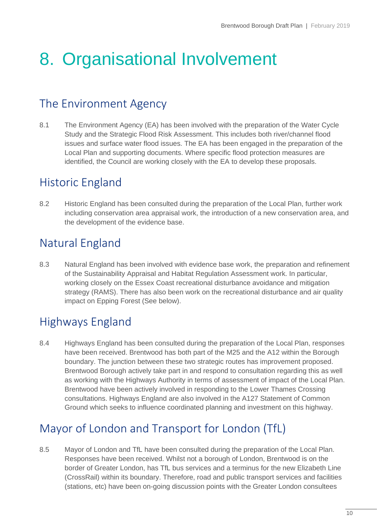# <span id="page-10-0"></span>8. Organisational Involvement

## <span id="page-10-1"></span>The Environment Agency

8.1 The Environment Agency (EA) has been involved with the preparation of the Water Cycle Study and the Strategic Flood Risk Assessment. This includes both river/channel flood issues and surface water flood issues. The EA has been engaged in the preparation of the Local Plan and supporting documents. Where specific flood protection measures are identified, the Council are working closely with the EA to develop these proposals.

## <span id="page-10-2"></span>Historic England

8.2 Historic England has been consulted during the preparation of the Local Plan, further work including conservation area appraisal work, the introduction of a new conservation area, and the development of the evidence base.

# <span id="page-10-3"></span>Natural England

8.3 Natural England has been involved with evidence base work, the preparation and refinement of the Sustainability Appraisal and Habitat Regulation Assessment work. In particular, working closely on the Essex Coast recreational disturbance avoidance and mitigation strategy (RAMS). There has also been work on the recreational disturbance and air quality impact on Epping Forest (See below).

# <span id="page-10-4"></span>Highways England

8.4 Highways England has been consulted during the preparation of the Local Plan, responses have been received. Brentwood has both part of the M25 and the A12 within the Borough boundary. The junction between these two strategic routes has improvement proposed. Brentwood Borough actively take part in and respond to consultation regarding this as well as working with the Highways Authority in terms of assessment of impact of the Local Plan. Brentwood have been actively involved in responding to the Lower Thames Crossing consultations. Highways England are also involved in the A127 Statement of Common Ground which seeks to influence coordinated planning and investment on this highway.

## <span id="page-10-5"></span>Mayor of London and Transport for London (TfL)

8.5 Mayor of London and TfL have been consulted during the preparation of the Local Plan. Responses have been received. Whilst not a borough of London, Brentwood is on the border of Greater London, has TfL bus services and a terminus for the new Elizabeth Line (CrossRail) within its boundary. Therefore, road and public transport services and facilities (stations, etc) have been on-going discussion points with the Greater London consultees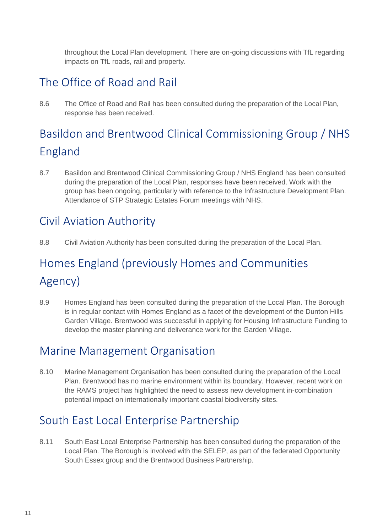throughout the Local Plan development. There are on-going discussions with TfL regarding impacts on TfL roads, rail and property.

# <span id="page-11-0"></span>The Office of Road and Rail

8.6 The Office of Road and Rail has been consulted during the preparation of the Local Plan, response has been received.

# <span id="page-11-1"></span>Basildon and Brentwood Clinical Commissioning Group / NHS England

8.7 Basildon and Brentwood Clinical Commissioning Group / NHS England has been consulted during the preparation of the Local Plan, responses have been received. Work with the group has been ongoing, particularly with reference to the Infrastructure Development Plan. Attendance of STP Strategic Estates Forum meetings with NHS.

## <span id="page-11-2"></span>Civil Aviation Authority

8.8 Civil Aviation Authority has been consulted during the preparation of the Local Plan.

# <span id="page-11-3"></span>Homes England (previously Homes and Communities Agency)

8.9 Homes England has been consulted during the preparation of the Local Plan. The Borough is in regular contact with Homes England as a facet of the development of the Dunton Hills Garden Village. Brentwood was successful in applying for Housing Infrastructure Funding to develop the master planning and deliverance work for the Garden Village.

## <span id="page-11-4"></span>Marine Management Organisation

8.10 Marine Management Organisation has been consulted during the preparation of the Local Plan. Brentwood has no marine environment within its boundary. However, recent work on the RAMS project has highlighted the need to assess new development in-combination potential impact on internationally important coastal biodiversity sites.

# <span id="page-11-5"></span>South East Local Enterprise Partnership

8.11 South East Local Enterprise Partnership has been consulted during the preparation of the Local Plan. The Borough is involved with the SELEP, as part of the federated Opportunity South Essex group and the Brentwood Business Partnership.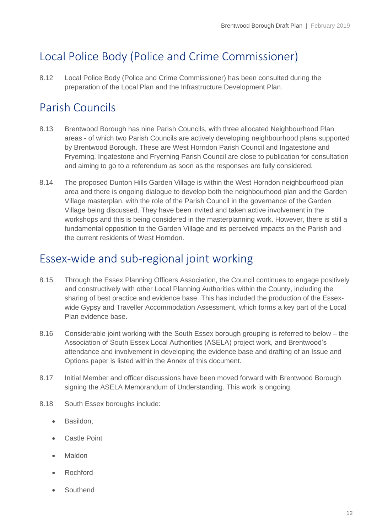# <span id="page-12-0"></span>Local Police Body (Police and Crime Commissioner)

8.12 Local Police Body (Police and Crime Commissioner) has been consulted during the preparation of the Local Plan and the Infrastructure Development Plan.

# <span id="page-12-1"></span>Parish Councils

- 8.13 Brentwood Borough has nine Parish Councils, with three allocated Neighbourhood Plan areas - of which two Parish Councils are actively developing neighbourhood plans supported by Brentwood Borough. These are West Horndon Parish Council and Ingatestone and Fryerning. Ingatestone and Fryerning Parish Council are close to publication for consultation and aiming to go to a referendum as soon as the responses are fully considered.
- 8.14 The proposed Dunton Hills Garden Village is within the West Horndon neighbourhood plan area and there is ongoing dialogue to develop both the neighbourhood plan and the Garden Village masterplan, with the role of the Parish Council in the governance of the Garden Village being discussed. They have been invited and taken active involvement in the workshops and this is being considered in the masterplanning work. However, there is still a fundamental opposition to the Garden Village and its perceived impacts on the Parish and the current residents of West Horndon.

## <span id="page-12-2"></span>Essex-wide and sub-regional joint working

- 8.15 Through the Essex Planning Officers Association, the Council continues to engage positively and constructively with other Local Planning Authorities within the County, including the sharing of best practice and evidence base. This has included the production of the Essexwide Gypsy and Traveller Accommodation Assessment, which forms a key part of the Local Plan evidence base.
- 8.16 Considerable joint working with the South Essex borough grouping is referred to below the Association of South Essex Local Authorities (ASELA) project work, and Brentwood's attendance and involvement in developing the evidence base and drafting of an Issue and Options paper is listed within the Annex of this document.
- 8.17 Initial Member and officer discussions have been moved forward with Brentwood Borough signing the ASELA Memorandum of Understanding. This work is ongoing.
- 8.18 South Essex boroughs include:
	- Basildon,
	- Castle Point
	- Maldon
	- Rochford
	- Southend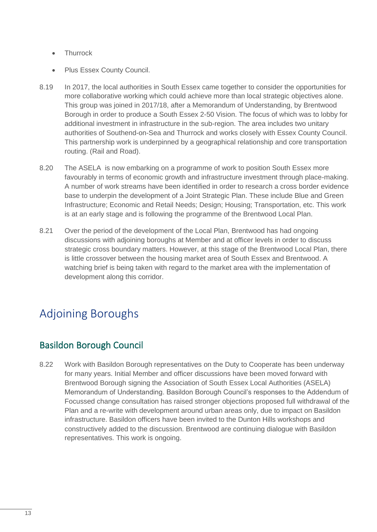- Thurrock
- Plus Essex County Council.
- 8.19 In 2017, the local authorities in South Essex came together to consider the opportunities for more collaborative working which could achieve more than local strategic objectives alone. This group was joined in 2017/18, after a Memorandum of Understanding, by Brentwood Borough in order to produce a South Essex 2-50 Vision. The focus of which was to lobby for additional investment in infrastructure in the sub-region. The area includes two unitary authorities of Southend-on-Sea and Thurrock and works closely with Essex County Council. This partnership work is underpinned by a geographical relationship and core transportation routing. (Rail and Road).
- 8.20 The ASELA is now embarking on a programme of work to position South Essex more favourably in terms of economic growth and infrastructure investment through place-making. A number of work streams have been identified in order to research a cross border evidence base to underpin the development of a Joint Strategic Plan. These include Blue and Green Infrastructure; Economic and Retail Needs; Design; Housing; Transportation, etc. This work is at an early stage and is following the programme of the Brentwood Local Plan.
- 8.21 Over the period of the development of the Local Plan, Brentwood has had ongoing discussions with adjoining boroughs at Member and at officer levels in order to discuss strategic cross boundary matters. However, at this stage of the Brentwood Local Plan, there is little crossover between the housing market area of South Essex and Brentwood. A watching brief is being taken with regard to the market area with the implementation of development along this corridor.

# <span id="page-13-0"></span>Adjoining Boroughs

### Basildon Borough Council

8.22 Work with Basildon Borough representatives on the Duty to Cooperate has been underway for many years. Initial Member and officer discussions have been moved forward with Brentwood Borough signing the Association of South Essex Local Authorities (ASELA) Memorandum of Understanding. Basildon Borough Council's responses to the Addendum of Focussed change consultation has raised stronger objections proposed full withdrawal of the Plan and a re-write with development around urban areas only, due to impact on Basildon infrastructure. Basildon officers have been invited to the Dunton Hills workshops and constructively added to the discussion. Brentwood are continuing dialogue with Basildon representatives. This work is ongoing.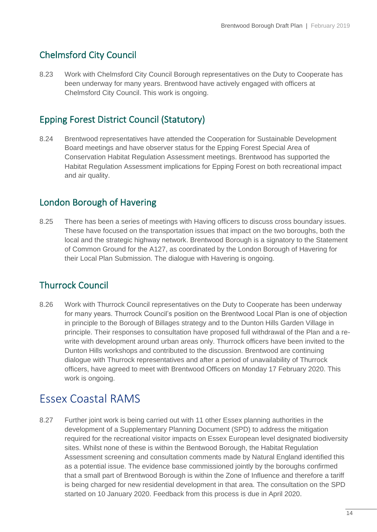### Chelmsford City Council

8.23 Work with Chelmsford City Council Borough representatives on the Duty to Cooperate has been underway for many years. Brentwood have actively engaged with officers at Chelmsford City Council. This work is ongoing.

### Epping Forest District Council (Statutory)

8.24 Brentwood representatives have attended the Cooperation for Sustainable Development Board meetings and have observer status for the Epping Forest Special Area of Conservation Habitat Regulation Assessment meetings. Brentwood has supported the Habitat Regulation Assessment implications for Epping Forest on both recreational impact and air quality.

### London Borough of Havering

8.25 There has been a series of meetings with Having officers to discuss cross boundary issues. These have focused on the transportation issues that impact on the two boroughs, both the local and the strategic highway network. Brentwood Borough is a signatory to the Statement of Common Ground for the A127, as coordinated by the London Borough of Havering for their Local Plan Submission. The dialogue with Havering is ongoing.

### Thurrock Council

8.26 Work with Thurrock Council representatives on the Duty to Cooperate has been underway for many years. Thurrock Council's position on the Brentwood Local Plan is one of objection in principle to the Borough of Billages strategy and to the Dunton Hills Garden Village in principle. Their responses to consultation have proposed full withdrawal of the Plan and a rewrite with development around urban areas only. Thurrock officers have been invited to the Dunton Hills workshops and contributed to the discussion. Brentwood are continuing dialogue with Thurrock representatives and after a period of unavailability of Thurrock officers, have agreed to meet with Brentwood Officers on Monday 17 February 2020. This work is ongoing.

## <span id="page-14-0"></span>Essex Coastal RAMS

8.27 Further joint work is being carried out with 11 other Essex planning authorities in the development of a Supplementary Planning Document (SPD) to address the mitigation required for the recreational visitor impacts on Essex European level designated biodiversity sites. Whilst none of these is within the Bentwood Borough, the Habitat Regulation Assessment screening and consultation comments made by Natural England identified this as a potential issue. The evidence base commissioned jointly by the boroughs confirmed that a small part of Brentwood Borough is within the Zone of Influence and therefore a tariff is being charged for new residential development in that area. The consultation on the SPD started on 10 January 2020. Feedback from this process is due in April 2020.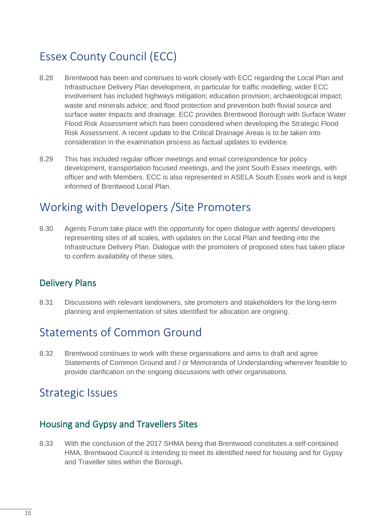# <span id="page-15-0"></span>Essex County Council (ECC)

- 8.28 Brentwood has been and continues to work closely with ECC regarding the Local Plan and Infrastructure Delivery Plan development, in particular for traffic modelling; wider ECC involvement has included highways mitigation; education provision; archaeological impact; waste and minerals advice; and flood protection and prevention both fluvial source and surface water impacts and drainage. ECC provides Brentwood Borough with Surface Water Flood Risk Assessment which has been considered when developing the Strategic Flood Risk Assessment. A recent update to the Critical Drainage Areas is to be taken into consideration in the examination process as factual updates to evidence.
- 8.29 This has included regular officer meetings and email correspondence for policy development, transportation focused meetings, and the joint South Essex meetings, with officer and with Members. ECC is also represented in ASELA South Essex work and is kept informed of Brentwood Local Plan.

## <span id="page-15-1"></span>Working with Developers /Site Promoters

8.30 Agents Forum take place with the opportunity for open dialogue with agents/ developers representing sites of all scales, with updates on the Local Plan and feeding into the Infrastructure Delivery Plan. Dialogue with the promoters of proposed sites has taken place to confirm availability of these sites.

### Delivery Plans

8.31 Discussions with relevant landowners, site promoters and stakeholders for the long-term planning and implementation of sites identified for allocation are ongoing.

## <span id="page-15-2"></span>Statements of Common Ground

8.32 Brentwood continues to work with these organisations and aims to draft and agree Statements of Common Ground and / or Memoranda of Understanding wherever feasible to provide clarification on the ongoing discussions with other organisations.

## <span id="page-15-3"></span>Strategic Issues

#### Housing and Gypsy and Travellers Sites

8.33 With the conclusion of the 2017 SHMA being that Brentwood constitutes a self-contained HMA, Brentwood Council is intending to meet its identified need for housing and for Gypsy and Traveller sites within the Borough.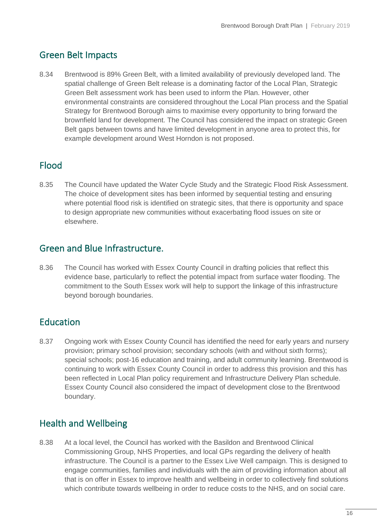### Green Belt Impacts

8.34 Brentwood is 89% Green Belt, with a limited availability of previously developed land. The spatial challenge of Green Belt release is a dominating factor of the Local Plan, Strategic Green Belt assessment work has been used to inform the Plan. However, other environmental constraints are considered throughout the Local Plan process and the Spatial Strategy for Brentwood Borough aims to maximise every opportunity to bring forward the brownfield land for development. The Council has considered the impact on strategic Green Belt gaps between towns and have limited development in anyone area to protect this, for example development around West Horndon is not proposed.

### Flood

8.35 The Council have updated the Water Cycle Study and the Strategic Flood Risk Assessment. The choice of development sites has been informed by sequential testing and ensuring where potential flood risk is identified on strategic sites, that there is opportunity and space to design appropriate new communities without exacerbating flood issues on site or elsewhere.

#### Green and Blue Infrastructure.

8.36 The Council has worked with Essex County Council in drafting policies that reflect this evidence base, particularly to reflect the potential impact from surface water flooding. The commitment to the South Essex work will help to support the linkage of this infrastructure beyond borough boundaries.

### Education

8.37 Ongoing work with Essex County Council has identified the need for early years and nursery provision; primary school provision; secondary schools (with and without sixth forms); special schools; post-16 education and training, and adult community learning. Brentwood is continuing to work with Essex County Council in order to address this provision and this has been reflected in Local Plan policy requirement and Infrastructure Delivery Plan schedule. Essex County Council also considered the impact of development close to the Brentwood boundary.

### Health and Wellbeing

8.38 At a local level, the Council has worked with the Basildon and Brentwood Clinical Commissioning Group, NHS Properties, and local GPs regarding the delivery of health infrastructure. The Council is a partner to the Essex Live Well campaign. This is designed to engage communities, families and individuals with the aim of providing information about all that is on offer in Essex to improve health and wellbeing in order to collectively find solutions which contribute towards wellbeing in order to reduce costs to the NHS, and on social care.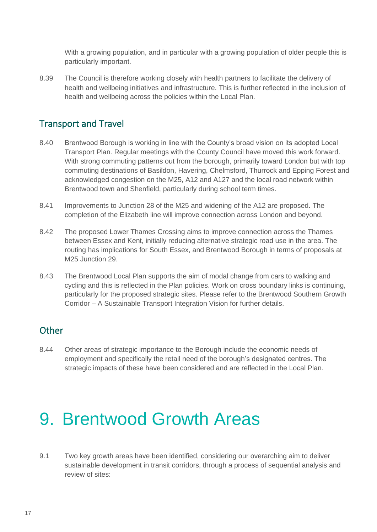With a growing population, and in particular with a growing population of older people this is particularly important.

8.39 The Council is therefore working closely with health partners to facilitate the delivery of health and wellbeing initiatives and infrastructure. This is further reflected in the inclusion of health and wellbeing across the policies within the Local Plan.

### Transport and Travel

- 8.40 Brentwood Borough is working in line with the County's broad vision on its adopted Local Transport Plan. Regular meetings with the County Council have moved this work forward. With strong commuting patterns out from the borough, primarily toward London but with top commuting destinations of Basildon, Havering, Chelmsford, Thurrock and Epping Forest and acknowledged congestion on the M25, A12 and A127 and the local road network within Brentwood town and Shenfield, particularly during school term times.
- 8.41 Improvements to Junction 28 of the M25 and widening of the A12 are proposed. The completion of the Elizabeth line will improve connection across London and beyond.
- 8.42 The proposed Lower Thames Crossing aims to improve connection across the Thames between Essex and Kent, initially reducing alternative strategic road use in the area. The routing has implications for South Essex, and Brentwood Borough in terms of proposals at M25 Junction 29.
- 8.43 The Brentwood Local Plan supports the aim of modal change from cars to walking and cycling and this is reflected in the Plan policies. Work on cross boundary links is continuing, particularly for the proposed strategic sites. Please refer to the Brentwood Southern Growth Corridor – A Sustainable Transport Integration Vision for further details.

#### **Other**

8.44 Other areas of strategic importance to the Borough include the economic needs of employment and specifically the retail need of the borough's designated centres. The strategic impacts of these have been considered and are reflected in the Local Plan.

# <span id="page-17-0"></span>9. Brentwood Growth Areas

9.1 Two key growth areas have been identified, considering our overarching aim to deliver sustainable development in transit corridors, through a process of sequential analysis and review of sites: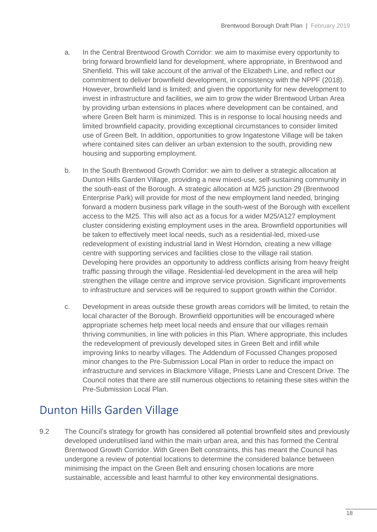- a. In the Central Brentwood Growth Corridor: we aim to maximise every opportunity to bring forward brownfield land for development, where appropriate, in Brentwood and Shenfield. This will take account of the arrival of the Elizabeth Line, and reflect our commitment to deliver brownfield development, in consistency with the NPPF (2018). However, brownfield land is limited; and given the opportunity for new development to invest in infrastructure and facilities, we aim to grow the wider Brentwood Urban Area by providing urban extensions in places where development can be contained, and where Green Belt harm is minimized. This is in response to local housing needs and limited brownfield capacity, providing exceptional circumstances to consider limited use of Green Belt. In addition, opportunities to grow Ingatestone Village will be taken where contained sites can deliver an urban extension to the south, providing new housing and supporting employment.
- b. In the South Brentwood Growth Corridor: we aim to deliver a strategic allocation at Dunton Hills Garden Village, providing a new mixed-use, self-sustaining community in the south-east of the Borough. A strategic allocation at M25 junction 29 (Brentwood Enterprise Park) will provide for most of the new employment land needed, bringing forward a modern business park village in the south-west of the Borough with excellent access to the M25. This will also act as a focus for a wider M25/A127 employment cluster considering existing employment uses in the area. Brownfield opportunities will be taken to effectively meet local needs, such as a residential-led, mixed-use redevelopment of existing industrial land in West Horndon, creating a new village centre with supporting services and facilities close to the village rail station. Developing here provides an opportunity to address conflicts arising from heavy freight traffic passing through the village. Residential-led development in the area will help strengthen the village centre and improve service provision. Significant improvements to infrastructure and services will be required to support growth within the Corridor.
- c. Development in areas outside these growth areas corridors will be limited, to retain the local character of the Borough. Brownfield opportunities will be encouraged where appropriate schemes help meet local needs and ensure that our villages remain thriving communities, in line with policies in this Plan. Where appropriate, this includes the redevelopment of previously developed sites in Green Belt and infill while improving links to nearby villages. The Addendum of Focussed Changes proposed minor changes to the Pre-Submission Local Plan in order to reduce the impact on infrastructure and services in Blackmore Village, Priests Lane and Crescent Drive. The Council notes that there are still numerous objections to retaining these sites within the Pre-Submission Local Plan.

## <span id="page-18-0"></span>Dunton Hills Garden Village

9.2 The Council's strategy for growth has considered all potential brownfield sites and previously developed underutilised land within the main urban area, and this has formed the Central Brentwood Growth Corridor. With Green Belt constraints, this has meant the Council has undergone a review of potential locations to determine the considered balance between minimising the impact on the Green Belt and ensuring chosen locations are more sustainable, accessible and least harmful to other key environmental designations.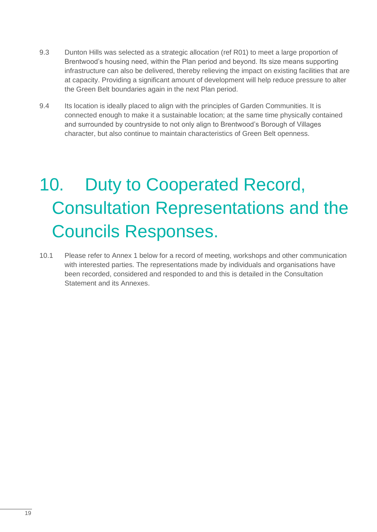- 9.3 Dunton Hills was selected as a strategic allocation (ref R01) to meet a large proportion of Brentwood's housing need, within the Plan period and beyond. Its size means supporting infrastructure can also be delivered, thereby relieving the impact on existing facilities that are at capacity. Providing a significant amount of development will help reduce pressure to alter the Green Belt boundaries again in the next Plan period.
- 9.4 Its location is ideally placed to align with the principles of Garden Communities. It is connected enough to make it a sustainable location; at the same time physically contained and surrounded by countryside to not only align to Brentwood's Borough of Villages character, but also continue to maintain characteristics of Green Belt openness.

# <span id="page-19-0"></span>10. Duty to Cooperated Record, Consultation Representations and the Councils Responses.

10.1 Please refer to Annex 1 below for a record of meeting, workshops and other communication with interested parties. The representations made by individuals and organisations have been recorded, considered and responded to and this is detailed in the Consultation Statement and its Annexes.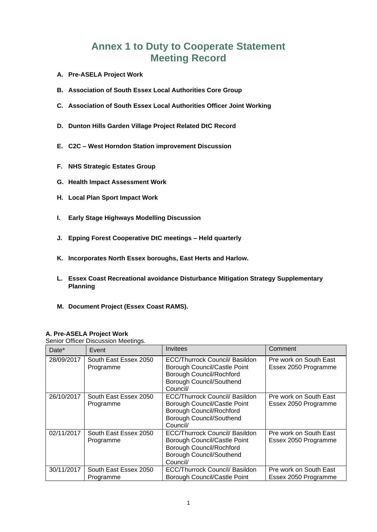### **Annex 1 to Duty to Cooperate Statement Meeting Record**

- **A. Pre-ASELA Project Work**
- **B. Association of South Essex Local Authorities Core Group**
- **C. Association of South Essex Local Authorities Officer Joint Working**
- **D. Dunton Hills Garden Village Project Related DtC Record**
- **E. C2C – West Horndon Station improvement Discussion**
- **F. NHS Strategic Estates Group**
- **G. Health Impact Assessment Work**
- **H. Local Plan Sport Impact Work**
- **I. Early Stage Highways Modelling Discussion**
- **J. Epping Forest Cooperative DtC meetings – Held quarterly**
- **K. Incorporates North Essex boroughs, East Herts and Harlow.**
- **L. Essex Coast Recreational avoidance Disturbance Mitigation Strategy Supplementary Planning**
- **M. Document Project (Essex Coast RAMS).**

#### **A. Pre-ASELA Project Work**

Senior Officer Discussion Meetings.

| Date*      | Event                              | Invitees                                                                                                                                         | Comment                                        |
|------------|------------------------------------|--------------------------------------------------------------------------------------------------------------------------------------------------|------------------------------------------------|
| 28/09/2017 | South East Essex 2050<br>Programme | <b>ECC/Thurrock Council/ Basildon</b><br>Borough Council/Castle Point<br>Borough Council/Rochford<br><b>Borough Council/Southend</b><br>Council/ | Pre work on South East<br>Essex 2050 Programme |
| 26/10/2017 | South East Essex 2050<br>Programme | <b>ECC/Thurrock Council/ Basildon</b><br>Borough Council/Castle Point<br>Borough Council/Rochford<br>Borough Council/Southend<br>Council/        | Pre work on South East<br>Essex 2050 Programme |
| 02/11/2017 | South East Essex 2050<br>Programme | <b>ECC/Thurrock Council/ Basildon</b><br>Borough Council/Castle Point<br>Borough Council/Rochford<br>Borough Council/Southend<br>Council/        | Pre work on South East<br>Essex 2050 Programme |
| 30/11/2017 | South East Essex 2050<br>Programme | <b>ECC/Thurrock Council/ Basildon</b><br>Borough Council/Castle Point                                                                            | Pre work on South East<br>Essex 2050 Programme |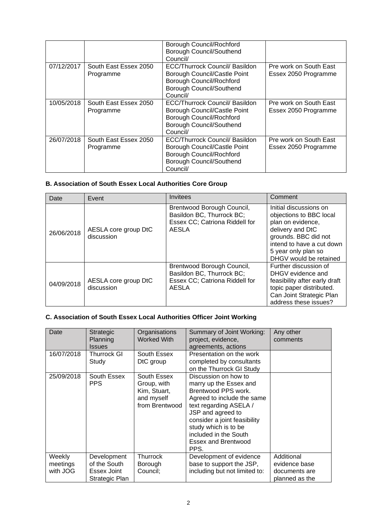|            |                                    | Borough Council/Rochford<br>Borough Council/Southend<br>Council/                                                                                        |                                                |
|------------|------------------------------------|---------------------------------------------------------------------------------------------------------------------------------------------------------|------------------------------------------------|
| 07/12/2017 | South East Essex 2050<br>Programme | ECC/Thurrock Council/ Basildon<br>Borough Council/Castle Point<br>Borough Council/Rochford<br>Borough Council/Southend<br>Council/                      | Pre work on South East<br>Essex 2050 Programme |
| 10/05/2018 | South East Essex 2050<br>Programme | <b>ECC/Thurrock Council/ Basildon</b><br>Borough Council/Castle Point<br><b>Borough Council/Rochford</b><br><b>Borough Council/Southend</b><br>Council/ | Pre work on South East<br>Essex 2050 Programme |
| 26/07/2018 | South East Essex 2050<br>Programme | <b>ECC/Thurrock Council/ Basildon</b><br>Borough Council/Castle Point<br>Borough Council/Rochford<br><b>Borough Council/Southend</b><br>Council/        | Pre work on South East<br>Essex 2050 Programme |

#### **B. Association of South Essex Local Authorities Core Group**

| Date       | Event                              | <b>Invitees</b>                                                                                    | Comment                                                                                                                                                                                          |
|------------|------------------------------------|----------------------------------------------------------------------------------------------------|--------------------------------------------------------------------------------------------------------------------------------------------------------------------------------------------------|
| 26/06/2018 | AESLA core group DtC<br>discussion | Brentwood Borough Council,<br>Basildon BC, Thurrock BC;<br>Essex CC; Catriona Riddell for<br>AESLA | Initial discussions on<br>objections to BBC local<br>plan on evidence,<br>delivery and DtC<br>grounds. BBC did not<br>intend to have a cut down<br>5 year only plan so<br>DHGV would be retained |
| 04/09/2018 | AESLA core group DtC<br>discussion | Brentwood Borough Council,<br>Basildon BC, Thurrock BC;<br>Essex CC; Catriona Riddell for<br>AESLA | Further discussion of<br>DHGV evidence and<br>feasibility after early draft<br>topic paper distributed.<br>Can Joint Strategic Plan<br>address these issues?                                     |

#### **C. Association of South Essex Local Authorities Officer Joint Working**

| Date                           | Strategic<br>Planning<br><b>Issues</b>                       | Organisations<br><b>Worked With</b>                                        | Summary of Joint Working:<br>project, evidence,<br>agreements, actions                                                                                                                                                                                                    | Any other<br>comments                                          |
|--------------------------------|--------------------------------------------------------------|----------------------------------------------------------------------------|---------------------------------------------------------------------------------------------------------------------------------------------------------------------------------------------------------------------------------------------------------------------------|----------------------------------------------------------------|
| 16/07/2018                     | <b>Thurrock GI</b><br>Study                                  | South Essex<br>DtC group                                                   | Presentation on the work<br>completed by consultants<br>on the Thurrock GI Study                                                                                                                                                                                          |                                                                |
| 25/09/2018                     | South Essex<br><b>PPS</b>                                    | South Essex<br>Group, with<br>Kim, Stuart,<br>and myself<br>from Brentwood | Discussion on how to<br>marry up the Essex and<br>Brentwood PPS work.<br>Agreed to include the same<br>text regarding ASELA /<br>JSP and agreed to<br>consider a joint feasibility<br>study which is to be<br>included in the South<br><b>Essex and Brentwood</b><br>PPS. |                                                                |
| Weekly<br>meetings<br>with JOG | Development<br>of the South<br>Essex Joint<br>Strategic Plan | Thurrock<br>Borough<br>Council;                                            | Development of evidence<br>base to support the JSP,<br>including but not limited to:                                                                                                                                                                                      | Additional<br>evidence base<br>documents are<br>planned as the |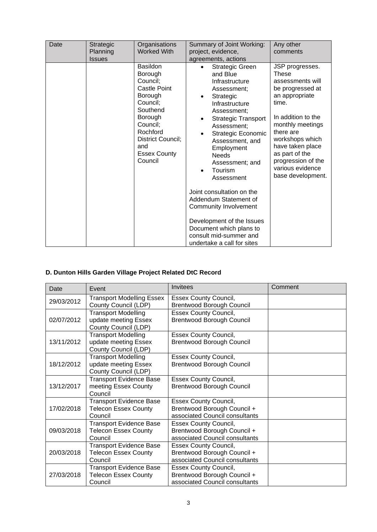| Date | Strategic<br>Planning<br><b>Issues</b> | Organisations<br><b>Worked With</b>                                                                                                                                                        | Summary of Joint Working:<br>project, evidence,<br>agreements, actions                                                                                                                                                                                                                                                                                                                                                                                                                               | Any other<br>comments                                                                                                                                                                                                                                                             |
|------|----------------------------------------|--------------------------------------------------------------------------------------------------------------------------------------------------------------------------------------------|------------------------------------------------------------------------------------------------------------------------------------------------------------------------------------------------------------------------------------------------------------------------------------------------------------------------------------------------------------------------------------------------------------------------------------------------------------------------------------------------------|-----------------------------------------------------------------------------------------------------------------------------------------------------------------------------------------------------------------------------------------------------------------------------------|
|      |                                        | <b>Basildon</b><br>Borough<br>Council;<br>Castle Point<br>Borough<br>Council;<br>Southend<br>Borough<br>Council;<br>Rochford<br>District Council;<br>and<br><b>Essex County</b><br>Council | <b>Strategic Green</b><br>and Blue<br>Infrastructure<br>Assessment;<br>Strategic<br>Infrastructure<br>Assessment;<br><b>Strategic Transport</b><br>$\bullet$<br>Assessment;<br>Strategic Economic<br>Assessment, and<br>Employment<br><b>Needs</b><br>Assessment; and<br>Tourism<br>Assessment<br>Joint consultation on the<br>Addendum Statement of<br><b>Community Involvement</b><br>Development of the Issues<br>Document which plans to<br>consult mid-summer and<br>undertake a call for sites | JSP progresses.<br><b>These</b><br>assessments will<br>be progressed at<br>an appropriate<br>time.<br>In addition to the<br>monthly meetings<br>there are<br>workshops which<br>have taken place<br>as part of the<br>progression of the<br>various evidence<br>base development. |

#### **D. Dunton Hills Garden Village Project Related DtC Record**

| Date       | Event                            | Invitees                         | Comment |
|------------|----------------------------------|----------------------------------|---------|
| 29/03/2012 | <b>Transport Modelling Essex</b> | <b>Essex County Council,</b>     |         |
|            | County Council (LDP)             | <b>Brentwood Borough Council</b> |         |
|            | <b>Transport Modelling</b>       | <b>Essex County Council,</b>     |         |
| 02/07/2012 | update meeting Essex             | <b>Brentwood Borough Council</b> |         |
|            | County Council (LDP)             |                                  |         |
|            | <b>Transport Modelling</b>       | <b>Essex County Council,</b>     |         |
| 13/11/2012 | update meeting Essex             | <b>Brentwood Borough Council</b> |         |
|            | County Council (LDP)             |                                  |         |
|            | <b>Transport Modelling</b>       | <b>Essex County Council,</b>     |         |
| 18/12/2012 | update meeting Essex             | <b>Brentwood Borough Council</b> |         |
|            | County Council (LDP)             |                                  |         |
|            | <b>Transport Evidence Base</b>   | <b>Essex County Council,</b>     |         |
| 13/12/2017 | meeting Essex County             | <b>Brentwood Borough Council</b> |         |
|            | Council                          |                                  |         |
|            | <b>Transport Evidence Base</b>   | <b>Essex County Council,</b>     |         |
| 17/02/2018 | <b>Telecon Essex County</b>      | Brentwood Borough Council +      |         |
|            | Council                          | associated Council consultants   |         |
|            | <b>Transport Evidence Base</b>   | <b>Essex County Council,</b>     |         |
| 09/03/2018 | <b>Telecon Essex County</b>      | Brentwood Borough Council +      |         |
|            | Council                          | associated Council consultants   |         |
|            | <b>Transport Evidence Base</b>   | <b>Essex County Council,</b>     |         |
| 20/03/2018 | <b>Telecon Essex County</b>      | Brentwood Borough Council +      |         |
|            | Council                          | associated Council consultants   |         |
|            | <b>Transport Evidence Base</b>   | <b>Essex County Council,</b>     |         |
| 27/03/2018 | <b>Telecon Essex County</b>      | Brentwood Borough Council +      |         |
|            | Council                          | associated Council consultants   |         |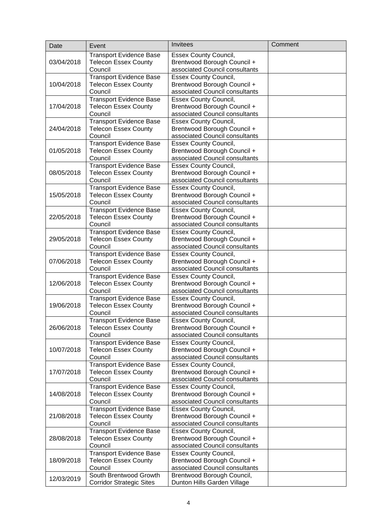| Date       | Event                                                         | <b>Invitees</b>                                                | Comment |
|------------|---------------------------------------------------------------|----------------------------------------------------------------|---------|
|            | <b>Transport Evidence Base</b>                                | <b>Essex County Council,</b>                                   |         |
| 03/04/2018 | <b>Telecon Essex County</b>                                   | Brentwood Borough Council +                                    |         |
|            | Council                                                       | associated Council consultants                                 |         |
|            | <b>Transport Evidence Base</b>                                | <b>Essex County Council,</b>                                   |         |
| 10/04/2018 | <b>Telecon Essex County</b>                                   | Brentwood Borough Council +                                    |         |
|            | Council                                                       | associated Council consultants                                 |         |
|            | <b>Transport Evidence Base</b>                                | <b>Essex County Council,</b>                                   |         |
| 17/04/2018 | <b>Telecon Essex County</b>                                   | Brentwood Borough Council +                                    |         |
|            | Council                                                       | associated Council consultants                                 |         |
|            | <b>Transport Evidence Base</b>                                | <b>Essex County Council,</b>                                   |         |
| 24/04/2018 | <b>Telecon Essex County</b>                                   | Brentwood Borough Council +                                    |         |
|            | Council                                                       | associated Council consultants                                 |         |
|            | <b>Transport Evidence Base</b>                                | <b>Essex County Council,</b>                                   |         |
| 01/05/2018 | <b>Telecon Essex County</b>                                   | Brentwood Borough Council +                                    |         |
|            | Council                                                       | associated Council consultants                                 |         |
|            | Transport Evidence Base                                       | <b>Essex County Council,</b>                                   |         |
| 08/05/2018 | <b>Telecon Essex County</b>                                   | Brentwood Borough Council +                                    |         |
|            | Council                                                       | associated Council consultants                                 |         |
| 15/05/2018 | <b>Transport Evidence Base</b>                                | <b>Essex County Council,</b>                                   |         |
|            | <b>Telecon Essex County</b><br>Council                        | Brentwood Borough Council +<br>associated Council consultants  |         |
|            | <b>Transport Evidence Base</b>                                | <b>Essex County Council,</b>                                   |         |
| 22/05/2018 | <b>Telecon Essex County</b>                                   | Brentwood Borough Council +                                    |         |
|            | Council                                                       | associated Council consultants                                 |         |
|            | <b>Transport Evidence Base</b>                                | <b>Essex County Council,</b>                                   |         |
| 29/05/2018 | <b>Telecon Essex County</b>                                   | Brentwood Borough Council +                                    |         |
|            | Council                                                       | associated Council consultants                                 |         |
|            | <b>Transport Evidence Base</b>                                | <b>Essex County Council,</b>                                   |         |
| 07/06/2018 | <b>Telecon Essex County</b>                                   | Brentwood Borough Council +                                    |         |
|            | Council                                                       | associated Council consultants                                 |         |
|            | <b>Transport Evidence Base</b>                                | <b>Essex County Council,</b>                                   |         |
| 12/06/2018 | <b>Telecon Essex County</b>                                   | Brentwood Borough Council +                                    |         |
|            | Council                                                       | associated Council consultants                                 |         |
|            | Transport Evidence Base                                       | <b>Essex County Council,</b>                                   |         |
| 19/06/2018 | <b>Telecon Essex County</b>                                   | Brentwood Borough Council +                                    |         |
|            | Council                                                       | associated Council consultants                                 |         |
|            | <b>Transport Evidence Base</b>                                | <b>Essex County Council,</b>                                   |         |
| 26/06/2018 | <b>Telecon Essex County</b>                                   | Brentwood Borough Council +                                    |         |
|            | Council                                                       | associated Council consultants                                 |         |
|            | <b>Transport Evidence Base</b>                                | <b>Essex County Council,</b>                                   |         |
| 10/07/2018 | <b>Telecon Essex County</b>                                   | Brentwood Borough Council +                                    |         |
|            | Council                                                       | associated Council consultants                                 |         |
|            | <b>Transport Evidence Base</b>                                | <b>Essex County Council,</b>                                   |         |
| 17/07/2018 | <b>Telecon Essex County</b><br>Council                        | Brentwood Borough Council +                                    |         |
|            |                                                               | associated Council consultants<br><b>Essex County Council,</b> |         |
| 14/08/2018 | <b>Transport Evidence Base</b><br><b>Telecon Essex County</b> | Brentwood Borough Council +                                    |         |
|            | Council                                                       | associated Council consultants                                 |         |
|            | <b>Transport Evidence Base</b>                                | <b>Essex County Council,</b>                                   |         |
| 21/08/2018 | <b>Telecon Essex County</b>                                   | Brentwood Borough Council +                                    |         |
|            | Council                                                       | associated Council consultants                                 |         |
|            | <b>Transport Evidence Base</b>                                | <b>Essex County Council,</b>                                   |         |
| 28/08/2018 | <b>Telecon Essex County</b>                                   | Brentwood Borough Council +                                    |         |
|            | Council                                                       | associated Council consultants                                 |         |
|            | <b>Transport Evidence Base</b>                                | <b>Essex County Council,</b>                                   |         |
| 18/09/2018 | <b>Telecon Essex County</b>                                   | Brentwood Borough Council +                                    |         |
|            | Council                                                       | associated Council consultants                                 |         |
| 12/03/2019 | South Brentwood Growth                                        | Brentwood Borough Council,                                     |         |
|            | <b>Corridor Strategic Sites</b>                               | Dunton Hills Garden Village                                    |         |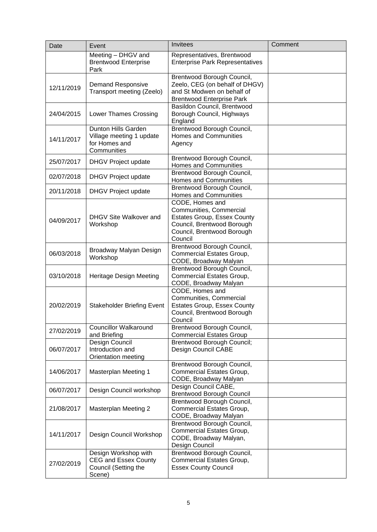| Date       | Event                                                                                 | Invitees                                                                                                                                                | Comment |
|------------|---------------------------------------------------------------------------------------|---------------------------------------------------------------------------------------------------------------------------------------------------------|---------|
|            | Meeting - DHGV and<br><b>Brentwood Enterprise</b><br>Park                             | Representatives, Brentwood<br><b>Enterprise Park Representatives</b>                                                                                    |         |
| 12/11/2019 | <b>Demand Responsive</b><br>Transport meeting (Zeelo)                                 | Brentwood Borough Council,<br>Zeelo, CEG (on behalf of DHGV)<br>and St Modwen on behalf of<br><b>Brentwood Enterprise Park</b>                          |         |
| 24/04/2015 | Lower Thames Crossing                                                                 | Basildon Council, Brentwood<br>Borough Council, Highways<br>England                                                                                     |         |
| 14/11/2017 | Dunton Hills Garden<br>Village meeting 1 update<br>for Homes and<br>Communities       | Brentwood Borough Council,<br><b>Homes and Communities</b><br>Agency                                                                                    |         |
| 25/07/2017 | DHGV Project update                                                                   | Brentwood Borough Council,<br><b>Homes and Communities</b>                                                                                              |         |
| 02/07/2018 | DHGV Project update                                                                   | Brentwood Borough Council,<br><b>Homes and Communities</b>                                                                                              |         |
| 20/11/2018 | DHGV Project update                                                                   | Brentwood Borough Council,<br>Homes and Communities                                                                                                     |         |
| 04/09/2017 | DHGV Site Walkover and<br>Workshop                                                    | CODE, Homes and<br>Communities, Commercial<br><b>Estates Group, Essex County</b><br>Council, Brentwood Borough<br>Council, Brentwood Borough<br>Council |         |
| 06/03/2018 | Broadway Malyan Design<br>Workshop                                                    | Brentwood Borough Council,<br>Commercial Estates Group,<br>CODE, Broadway Malyan                                                                        |         |
| 03/10/2018 | Heritage Design Meeting                                                               | Brentwood Borough Council,<br>Commercial Estates Group,<br>CODE, Broadway Malyan                                                                        |         |
| 20/02/2019 | <b>Stakeholder Briefing Event</b>                                                     | CODE, Homes and<br>Communities, Commercial<br><b>Estates Group, Essex County</b><br>Council, Brentwood Borough<br>Council                               |         |
| 27/02/2019 | <b>Councillor Walkaround</b><br>and Briefing                                          | Brentwood Borough Council,<br><b>Commercial Estates Group</b>                                                                                           |         |
| 06/07/2017 | Design Council<br>Introduction and<br>Orientation meeting                             | <b>Brentwood Borough Council;</b><br>Design Council CABE                                                                                                |         |
| 14/06/2017 | <b>Masterplan Meeting 1</b>                                                           | Brentwood Borough Council,<br>Commercial Estates Group,<br>CODE, Broadway Malyan                                                                        |         |
| 06/07/2017 | Design Council workshop                                                               | Design Council CABE,<br><b>Brentwood Borough Council</b>                                                                                                |         |
| 21/08/2017 | <b>Masterplan Meeting 2</b>                                                           | Brentwood Borough Council,<br>Commercial Estates Group,<br>CODE, Broadway Malyan                                                                        |         |
| 14/11/2017 | Design Council Workshop                                                               | Brentwood Borough Council,<br>Commercial Estates Group,<br>CODE, Broadway Malyan,<br>Design Council                                                     |         |
| 27/02/2019 | Design Workshop with<br><b>CEG and Essex County</b><br>Council (Setting the<br>Scene) | Brentwood Borough Council,<br>Commercial Estates Group,<br><b>Essex County Council</b>                                                                  |         |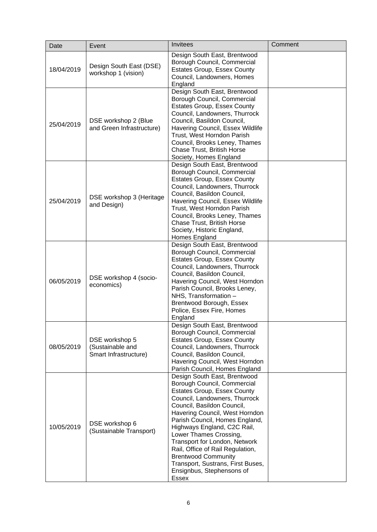| Date       | Event                                                       | Invitees                                                                                                                                                                                                                                                                                                                                                                                                                                                                    | Comment |
|------------|-------------------------------------------------------------|-----------------------------------------------------------------------------------------------------------------------------------------------------------------------------------------------------------------------------------------------------------------------------------------------------------------------------------------------------------------------------------------------------------------------------------------------------------------------------|---------|
| 18/04/2019 | Design South East (DSE)<br>workshop 1 (vision)              | Design South East, Brentwood<br>Borough Council, Commercial<br><b>Estates Group, Essex County</b><br>Council, Landowners, Homes<br>England                                                                                                                                                                                                                                                                                                                                  |         |
| 25/04/2019 | DSE workshop 2 (Blue<br>and Green Infrastructure)           | Design South East, Brentwood<br>Borough Council, Commercial<br><b>Estates Group, Essex County</b><br>Council, Landowners, Thurrock<br>Council, Basildon Council,<br>Havering Council, Essex Wildlife<br>Trust, West Horndon Parish<br>Council, Brooks Leney, Thames<br>Chase Trust, British Horse<br>Society, Homes England                                                                                                                                                 |         |
| 25/04/2019 | DSE workshop 3 (Heritage<br>and Design)                     | Design South East, Brentwood<br>Borough Council, Commercial<br><b>Estates Group, Essex County</b><br>Council, Landowners, Thurrock<br>Council, Basildon Council,<br>Havering Council, Essex Wildlife<br>Trust, West Horndon Parish<br>Council, Brooks Leney, Thames<br>Chase Trust, British Horse<br>Society, Historic England,<br>Homes England                                                                                                                            |         |
| 06/05/2019 | DSE workshop 4 (socio-<br>economics)                        | Design South East, Brentwood<br>Borough Council, Commercial<br><b>Estates Group, Essex County</b><br>Council, Landowners, Thurrock<br>Council, Basildon Council,<br>Havering Council, West Horndon<br>Parish Council, Brooks Leney,<br>NHS, Transformation -<br>Brentwood Borough, Essex<br>Police, Essex Fire, Homes<br>England                                                                                                                                            |         |
| 08/05/2019 | DSE workshop 5<br>(Sustainable and<br>Smart Infrastructure) | Design South East, Brentwood<br>Borough Council, Commercial<br><b>Estates Group, Essex County</b><br>Council, Landowners, Thurrock<br>Council, Basildon Council,<br>Havering Council, West Horndon<br>Parish Council, Homes England                                                                                                                                                                                                                                         |         |
| 10/05/2019 | DSE workshop 6<br>(Sustainable Transport)                   | Design South East, Brentwood<br>Borough Council, Commercial<br><b>Estates Group, Essex County</b><br>Council, Landowners, Thurrock<br>Council, Basildon Council,<br>Havering Council, West Horndon<br>Parish Council, Homes England,<br>Highways England, C2C Rail,<br>Lower Thames Crossing,<br>Transport for London, Network<br>Rail, Office of Rail Regulation,<br><b>Brentwood Community</b><br>Transport, Sustrans, First Buses,<br>Ensignbus, Stephensons of<br>Essex |         |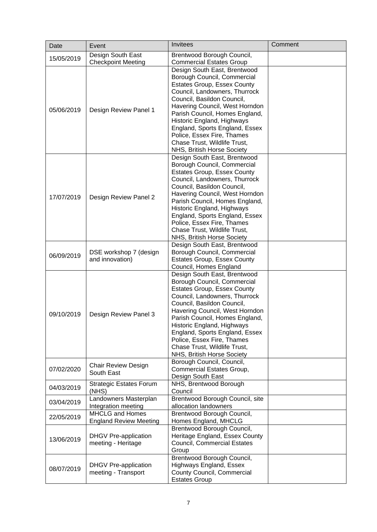| Date       | Event                                                   | Invitees                                                                                                                                                                                                                                                                                                                                                                                                                       | Comment |
|------------|---------------------------------------------------------|--------------------------------------------------------------------------------------------------------------------------------------------------------------------------------------------------------------------------------------------------------------------------------------------------------------------------------------------------------------------------------------------------------------------------------|---------|
| 15/05/2019 | Design South East                                       | Brentwood Borough Council,                                                                                                                                                                                                                                                                                                                                                                                                     |         |
|            | <b>Checkpoint Meeting</b>                               | <b>Commercial Estates Group</b>                                                                                                                                                                                                                                                                                                                                                                                                |         |
| 05/06/2019 | Design Review Panel 1                                   | Design South East, Brentwood<br>Borough Council, Commercial<br><b>Estates Group, Essex County</b><br>Council, Landowners, Thurrock<br>Council, Basildon Council,<br>Havering Council, West Horndon<br>Parish Council, Homes England,<br>Historic England, Highways<br>England, Sports England, Essex<br>Police, Essex Fire, Thames<br>Chase Trust, Wildlife Trust,                                                             |         |
| 17/07/2019 | Design Review Panel 2                                   | NHS, British Horse Society<br>Design South East, Brentwood<br>Borough Council, Commercial<br><b>Estates Group, Essex County</b><br>Council, Landowners, Thurrock<br>Council, Basildon Council,<br>Havering Council, West Horndon<br>Parish Council, Homes England,<br>Historic England, Highways<br>England, Sports England, Essex<br>Police, Essex Fire, Thames<br>Chase Trust, Wildlife Trust,<br>NHS, British Horse Society |         |
| 06/09/2019 | DSE workshop 7 (design<br>and innovation)               | Design South East, Brentwood<br>Borough Council, Commercial<br><b>Estates Group, Essex County</b><br>Council, Homes England                                                                                                                                                                                                                                                                                                    |         |
| 09/10/2019 | Design Review Panel 3                                   | Design South East, Brentwood<br>Borough Council, Commercial<br><b>Estates Group, Essex County</b><br>Council, Landowners, Thurrock<br>Council, Basildon Council,<br>Havering Council, West Horndon<br>Parish Council, Homes England,<br>Historic England, Highways<br>England, Sports England, Essex<br>Police, Essex Fire, Thames<br>Chase Trust, Wildlife Trust,<br>NHS, British Horse Society                               |         |
| 07/02/2020 | <b>Chair Review Design</b><br>South East                | Borough Council, Council,<br>Commercial Estates Group,<br>Design South East                                                                                                                                                                                                                                                                                                                                                    |         |
| 04/03/2019 | <b>Strategic Estates Forum</b><br>(NHS)                 | NHS, Brentwood Borough<br>Council                                                                                                                                                                                                                                                                                                                                                                                              |         |
| 03/04/2019 | Landowners Masterplan<br>Integration meeting            | Brentwood Borough Council, site<br>allocation landowners                                                                                                                                                                                                                                                                                                                                                                       |         |
| 22/05/2019 | <b>MHCLG and Homes</b><br><b>England Review Meeting</b> | Brentwood Borough Council,<br>Homes England, MHCLG                                                                                                                                                                                                                                                                                                                                                                             |         |
| 13/06/2019 | <b>DHGV</b> Pre-application<br>meeting - Heritage       | Brentwood Borough Council,<br>Heritage England, Essex County<br><b>Council, Commercial Estates</b><br>Group                                                                                                                                                                                                                                                                                                                    |         |
| 08/07/2019 | <b>DHGV Pre-application</b><br>meeting - Transport      | Brentwood Borough Council,<br>Highways England, Essex<br>County Council, Commercial<br><b>Estates Group</b>                                                                                                                                                                                                                                                                                                                    |         |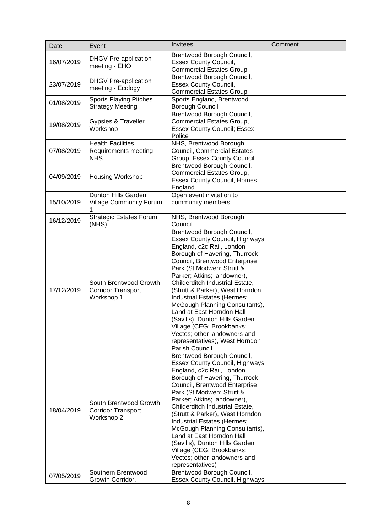| Date       | Event                                                             | Invitees                                                                                                                                                                                                                                                                                                                                                                                                                                                                                                                                              | Comment |
|------------|-------------------------------------------------------------------|-------------------------------------------------------------------------------------------------------------------------------------------------------------------------------------------------------------------------------------------------------------------------------------------------------------------------------------------------------------------------------------------------------------------------------------------------------------------------------------------------------------------------------------------------------|---------|
| 16/07/2019 | <b>DHGV Pre-application</b><br>meeting - EHO                      | Brentwood Borough Council,<br><b>Essex County Council,</b><br><b>Commercial Estates Group</b>                                                                                                                                                                                                                                                                                                                                                                                                                                                         |         |
| 23/07/2019 | <b>DHGV Pre-application</b><br>meeting - Ecology                  | Brentwood Borough Council,<br><b>Essex County Council,</b><br><b>Commercial Estates Group</b>                                                                                                                                                                                                                                                                                                                                                                                                                                                         |         |
| 01/08/2019 | <b>Sports Playing Pitches</b><br><b>Strategy Meeting</b>          | Sports England, Brentwood<br>Borough Council                                                                                                                                                                                                                                                                                                                                                                                                                                                                                                          |         |
| 19/08/2019 | Gypsies & Traveller<br>Workshop                                   | Brentwood Borough Council,<br>Commercial Estates Group,<br><b>Essex County Council; Essex</b><br>Police                                                                                                                                                                                                                                                                                                                                                                                                                                               |         |
| 07/08/2019 | <b>Health Facilities</b><br>Requirements meeting<br><b>NHS</b>    | NHS, Brentwood Borough<br><b>Council, Commercial Estates</b><br>Group, Essex County Council                                                                                                                                                                                                                                                                                                                                                                                                                                                           |         |
| 04/09/2019 | Housing Workshop                                                  | Brentwood Borough Council,<br>Commercial Estates Group,<br><b>Essex County Council, Homes</b><br>England                                                                                                                                                                                                                                                                                                                                                                                                                                              |         |
| 15/10/2019 | Dunton Hills Garden<br><b>Village Community Forum</b>             | Open event invitation to<br>community members                                                                                                                                                                                                                                                                                                                                                                                                                                                                                                         |         |
| 16/12/2019 | <b>Strategic Estates Forum</b><br>(NHS)                           | NHS, Brentwood Borough<br>Council                                                                                                                                                                                                                                                                                                                                                                                                                                                                                                                     |         |
| 17/12/2019 | South Brentwood Growth<br><b>Corridor Transport</b><br>Workshop 1 | Brentwood Borough Council,<br><b>Essex County Council, Highways</b><br>England, c2c Rail, London<br>Borough of Havering, Thurrock<br>Council, Brentwood Enterprise<br>Park (St Modwen; Strutt &<br>Parker; Atkins; landowner),<br>Childerditch Industrial Estate,<br>(Strutt & Parker), West Horndon<br>Industrial Estates (Hermes;<br>McGough Planning Consultants),<br>Land at East Horndon Hall<br>(Savills), Dunton Hills Garden<br>Village (CEG; Brookbanks;<br>Vectos; other landowners and<br>representatives), West Horndon<br>Parish Council |         |
| 18/04/2019 | South Brentwood Growth<br><b>Corridor Transport</b><br>Workshop 2 | Brentwood Borough Council,<br><b>Essex County Council, Highways</b><br>England, c2c Rail, London<br>Borough of Havering, Thurrock<br>Council, Brentwood Enterprise<br>Park (St Modwen; Strutt &<br>Parker; Atkins; landowner),<br>Childerditch Industrial Estate,<br>(Strutt & Parker), West Horndon<br>Industrial Estates (Hermes;<br>McGough Planning Consultants),<br>Land at East Horndon Hall<br>(Savills), Dunton Hills Garden<br>Village (CEG; Brookbanks;<br>Vectos; other landowners and<br>representatives)                                 |         |
| 07/05/2019 | Southern Brentwood<br>Growth Corridor,                            | Brentwood Borough Council,<br><b>Essex County Council, Highways</b>                                                                                                                                                                                                                                                                                                                                                                                                                                                                                   |         |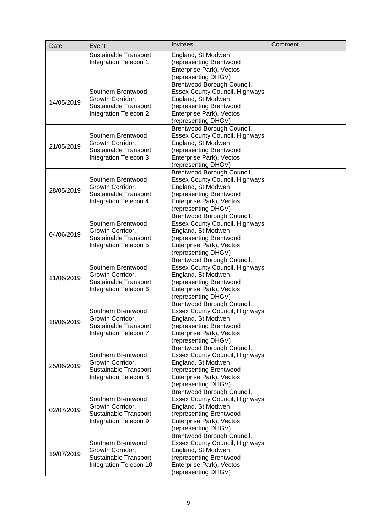| Date       | Event                                                                                     | Invitees                                                                                                                                                                | Comment |
|------------|-------------------------------------------------------------------------------------------|-------------------------------------------------------------------------------------------------------------------------------------------------------------------------|---------|
|            | Sustainable Transport<br>Integration Telecon 1                                            | England, St Modwen<br>(representing Brentwood<br>Enterprise Park), Vectos<br>(representing DHGV)                                                                        |         |
| 14/05/2019 | Southern Brentwood<br>Growth Corridor,<br>Sustainable Transport<br>Integration Telecon 2  | Brentwood Borough Council,<br><b>Essex County Council, Highways</b><br>England, St Modwen<br>(representing Brentwood<br>Enterprise Park), Vectos<br>(representing DHGV) |         |
| 21/05/2019 | Southern Brentwood<br>Growth Corridor,<br>Sustainable Transport<br>Integration Telecon 3  | Brentwood Borough Council,<br><b>Essex County Council, Highways</b><br>England, St Modwen<br>(representing Brentwood<br>Enterprise Park), Vectos<br>(representing DHGV) |         |
| 28/05/2019 | Southern Brentwood<br>Growth Corridor,<br>Sustainable Transport<br>Integration Telecon 4  | Brentwood Borough Council,<br><b>Essex County Council, Highways</b><br>England, St Modwen<br>(representing Brentwood<br>Enterprise Park), Vectos<br>(representing DHGV) |         |
| 04/06/2019 | Southern Brentwood<br>Growth Corridor,<br>Sustainable Transport<br>Integration Telecon 5  | Brentwood Borough Council,<br><b>Essex County Council, Highways</b><br>England, St Modwen<br>(representing Brentwood<br>Enterprise Park), Vectos<br>(representing DHGV) |         |
| 11/06/2019 | Southern Brentwood<br>Growth Corridor,<br>Sustainable Transport<br>Integration Telecon 6  | Brentwood Borough Council,<br><b>Essex County Council, Highways</b><br>England, St Modwen<br>(representing Brentwood<br>Enterprise Park), Vectos<br>(representing DHGV) |         |
| 18/06/2019 | Southern Brentwood<br>Growth Corridor,<br>Sustainable Transport<br>Integration Telecon 7  | Brentwood Borough Council,<br><b>Essex County Council, Highways</b><br>England, St Modwen<br>(representing Brentwood<br>Enterprise Park), Vectos<br>(representing DHGV) |         |
| 25/06/2019 | Southern Brentwood<br>Growth Corridor,<br>Sustainable Transport<br>Integration Telecon 8  | Brentwood Borough Council,<br><b>Essex County Council, Highways</b><br>England, St Modwen<br>(representing Brentwood<br>Enterprise Park), Vectos<br>(representing DHGV) |         |
| 02/07/2019 | Southern Brentwood<br>Growth Corridor,<br>Sustainable Transport<br>Integration Telecon 9  | Brentwood Borough Council,<br><b>Essex County Council, Highways</b><br>England, St Modwen<br>(representing Brentwood<br>Enterprise Park), Vectos<br>(representing DHGV) |         |
| 19/07/2019 | Southern Brentwood<br>Growth Corridor,<br>Sustainable Transport<br>Integration Telecon 10 | Brentwood Borough Council,<br><b>Essex County Council, Highways</b><br>England, St Modwen<br>(representing Brentwood<br>Enterprise Park), Vectos<br>(representing DHGV) |         |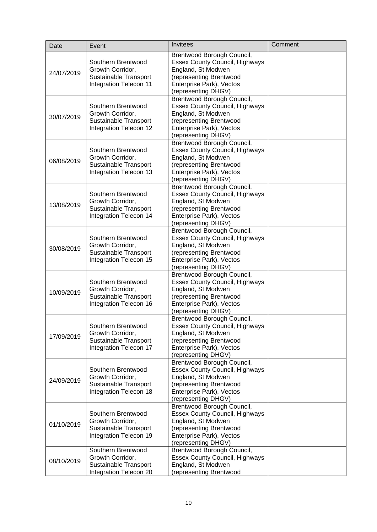| Date       | Event                                                                                     | Invitees                                                                                                                                                                | Comment |
|------------|-------------------------------------------------------------------------------------------|-------------------------------------------------------------------------------------------------------------------------------------------------------------------------|---------|
| 24/07/2019 | Southern Brentwood<br>Growth Corridor,<br>Sustainable Transport<br>Integration Telecon 11 | Brentwood Borough Council,<br><b>Essex County Council, Highways</b><br>England, St Modwen<br>(representing Brentwood<br>Enterprise Park), Vectos<br>(representing DHGV) |         |
| 30/07/2019 | Southern Brentwood<br>Growth Corridor,<br>Sustainable Transport<br>Integration Telecon 12 | Brentwood Borough Council,<br><b>Essex County Council, Highways</b><br>England, St Modwen<br>(representing Brentwood<br>Enterprise Park), Vectos<br>(representing DHGV) |         |
| 06/08/2019 | Southern Brentwood<br>Growth Corridor,<br>Sustainable Transport<br>Integration Telecon 13 | Brentwood Borough Council,<br><b>Essex County Council, Highways</b><br>England, St Modwen<br>(representing Brentwood<br>Enterprise Park), Vectos<br>(representing DHGV) |         |
| 13/08/2019 | Southern Brentwood<br>Growth Corridor,<br>Sustainable Transport<br>Integration Telecon 14 | Brentwood Borough Council,<br><b>Essex County Council, Highways</b><br>England, St Modwen<br>(representing Brentwood<br>Enterprise Park), Vectos<br>(representing DHGV) |         |
| 30/08/2019 | Southern Brentwood<br>Growth Corridor,<br>Sustainable Transport<br>Integration Telecon 15 | Brentwood Borough Council,<br><b>Essex County Council, Highways</b><br>England, St Modwen<br>(representing Brentwood<br>Enterprise Park), Vectos<br>(representing DHGV) |         |
| 10/09/2019 | Southern Brentwood<br>Growth Corridor,<br>Sustainable Transport<br>Integration Telecon 16 | Brentwood Borough Council,<br><b>Essex County Council, Highways</b><br>England, St Modwen<br>(representing Brentwood<br>Enterprise Park), Vectos<br>(representing DHGV) |         |
| 17/09/2019 | Southern Brentwood<br>Growth Corridor,<br>Sustainable Transport<br>Integration Telecon 17 | Brentwood Borough Council,<br><b>Essex County Council, Highways</b><br>England, St Modwen<br>(representing Brentwood<br>Enterprise Park), Vectos<br>(representing DHGV) |         |
| 24/09/2019 | Southern Brentwood<br>Growth Corridor,<br>Sustainable Transport<br>Integration Telecon 18 | Brentwood Borough Council,<br><b>Essex County Council, Highways</b><br>England, St Modwen<br>(representing Brentwood<br>Enterprise Park), Vectos<br>(representing DHGV) |         |
| 01/10/2019 | Southern Brentwood<br>Growth Corridor,<br>Sustainable Transport<br>Integration Telecon 19 | Brentwood Borough Council,<br><b>Essex County Council, Highways</b><br>England, St Modwen<br>(representing Brentwood<br>Enterprise Park), Vectos<br>(representing DHGV) |         |
| 08/10/2019 | Southern Brentwood<br>Growth Corridor,<br>Sustainable Transport<br>Integration Telecon 20 | Brentwood Borough Council,<br><b>Essex County Council, Highways</b><br>England, St Modwen<br>(representing Brentwood                                                    |         |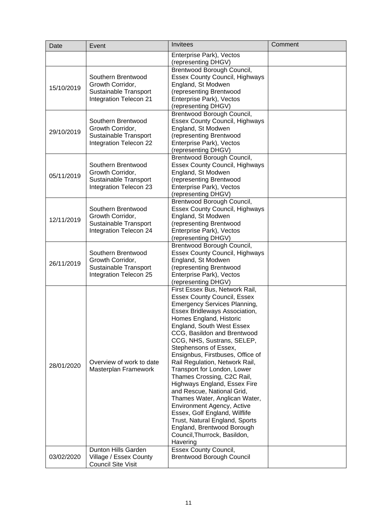| Date       | Event                                                                                     | Invitees                                                                                                                                                                                                                                                                                                                                                                                                                                                                                                                                                                                                                                                                                                       | Comment |
|------------|-------------------------------------------------------------------------------------------|----------------------------------------------------------------------------------------------------------------------------------------------------------------------------------------------------------------------------------------------------------------------------------------------------------------------------------------------------------------------------------------------------------------------------------------------------------------------------------------------------------------------------------------------------------------------------------------------------------------------------------------------------------------------------------------------------------------|---------|
|            |                                                                                           | Enterprise Park), Vectos                                                                                                                                                                                                                                                                                                                                                                                                                                                                                                                                                                                                                                                                                       |         |
| 15/10/2019 | Southern Brentwood<br>Growth Corridor,<br>Sustainable Transport<br>Integration Telecon 21 | (representing DHGV)<br>Brentwood Borough Council,<br><b>Essex County Council, Highways</b><br>England, St Modwen<br>(representing Brentwood<br>Enterprise Park), Vectos                                                                                                                                                                                                                                                                                                                                                                                                                                                                                                                                        |         |
| 29/10/2019 | Southern Brentwood<br>Growth Corridor,<br>Sustainable Transport<br>Integration Telecon 22 | (representing DHGV)<br>Brentwood Borough Council,<br><b>Essex County Council, Highways</b><br>England, St Modwen<br>(representing Brentwood<br>Enterprise Park), Vectos<br>(representing DHGV)                                                                                                                                                                                                                                                                                                                                                                                                                                                                                                                 |         |
| 05/11/2019 | Southern Brentwood<br>Growth Corridor,<br>Sustainable Transport<br>Integration Telecon 23 | Brentwood Borough Council,<br><b>Essex County Council, Highways</b><br>England, St Modwen<br>(representing Brentwood<br>Enterprise Park), Vectos<br>(representing DHGV)                                                                                                                                                                                                                                                                                                                                                                                                                                                                                                                                        |         |
| 12/11/2019 | Southern Brentwood<br>Growth Corridor,<br>Sustainable Transport<br>Integration Telecon 24 | Brentwood Borough Council,<br><b>Essex County Council, Highways</b><br>England, St Modwen<br>(representing Brentwood<br>Enterprise Park), Vectos<br>(representing DHGV)                                                                                                                                                                                                                                                                                                                                                                                                                                                                                                                                        |         |
| 26/11/2019 | Southern Brentwood<br>Growth Corridor,<br>Sustainable Transport<br>Integration Telecon 25 | Brentwood Borough Council,<br><b>Essex County Council, Highways</b><br>England, St Modwen<br>(representing Brentwood<br>Enterprise Park), Vectos<br>(representing DHGV)                                                                                                                                                                                                                                                                                                                                                                                                                                                                                                                                        |         |
| 28/01/2020 | Overview of work to date<br>Masterplan Framework                                          | First Essex Bus, Network Rail,<br><b>Essex County Council, Essex</b><br><b>Emergency Services Planning,</b><br>Essex Bridleways Association,<br>Homes England, Historic<br>England, South West Essex<br>CCG, Basildon and Brentwood<br>CCG, NHS, Sustrans, SELEP,<br>Stephensons of Essex,<br>Ensignbus, Firstbuses, Office of<br>Rail Regulation, Network Rail,<br>Transport for London, Lower<br>Thames Crossing, C2C Rail,<br>Highways England, Essex Fire<br>and Rescue, National Grid,<br>Thames Water, Anglican Water,<br><b>Environment Agency, Active</b><br>Essex, Golf England, Wilflife<br>Trust, Natural England, Sports<br>England, Brentwood Borough<br>Council, Thurrock, Basildon,<br>Havering |         |
| 03/02/2020 | Dunton Hills Garden<br>Village / Essex County<br><b>Council Site Visit</b>                | <b>Essex County Council,</b><br><b>Brentwood Borough Council</b>                                                                                                                                                                                                                                                                                                                                                                                                                                                                                                                                                                                                                                               |         |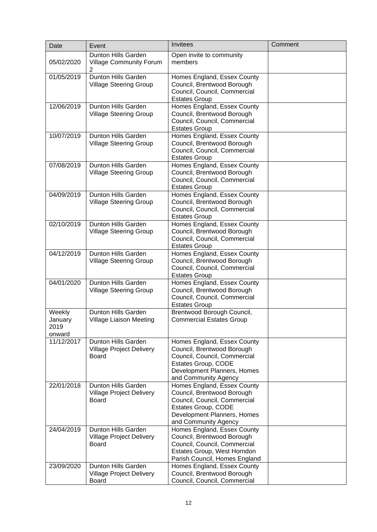| Date                                | Event                                                                  | Invitees                                                                                                                                                                | Comment |
|-------------------------------------|------------------------------------------------------------------------|-------------------------------------------------------------------------------------------------------------------------------------------------------------------------|---------|
| 05/02/2020                          | Dunton Hills Garden<br><b>Village Community Forum</b><br>2             | Open invite to community<br>members                                                                                                                                     |         |
| 01/05/2019                          | <b>Dunton Hills Garden</b><br><b>Village Steering Group</b>            | Homes England, Essex County<br>Council, Brentwood Borough<br>Council, Council, Commercial<br><b>Estates Group</b>                                                       |         |
| 12/06/2019                          | Dunton Hills Garden<br><b>Village Steering Group</b>                   | Homes England, Essex County<br>Council, Brentwood Borough<br>Council, Council, Commercial<br><b>Estates Group</b>                                                       |         |
| 10/07/2019                          | Dunton Hills Garden<br><b>Village Steering Group</b>                   | Homes England, Essex County<br>Council, Brentwood Borough<br>Council, Council, Commercial<br><b>Estates Group</b>                                                       |         |
| 07/08/2019                          | Dunton Hills Garden<br><b>Village Steering Group</b>                   | Homes England, Essex County<br>Council, Brentwood Borough<br>Council, Council, Commercial<br><b>Estates Group</b>                                                       |         |
| 04/09/2019                          | Dunton Hills Garden<br><b>Village Steering Group</b>                   | Homes England, Essex County<br>Council, Brentwood Borough<br>Council, Council, Commercial<br><b>Estates Group</b>                                                       |         |
| 02/10/2019                          | Dunton Hills Garden<br><b>Village Steering Group</b>                   | Homes England, Essex County<br>Council, Brentwood Borough<br>Council, Council, Commercial<br><b>Estates Group</b>                                                       |         |
| 04/12/2019                          | Dunton Hills Garden<br><b>Village Steering Group</b>                   | Homes England, Essex County<br>Council, Brentwood Borough<br>Council, Council, Commercial<br><b>Estates Group</b>                                                       |         |
| 04/01/2020                          | Dunton Hills Garden<br><b>Village Steering Group</b>                   | Homes England, Essex County<br>Council, Brentwood Borough<br>Council, Council, Commercial<br><b>Estates Group</b>                                                       |         |
| Weekly<br>January<br>2019<br>onward | Dunton Hills Garden<br>Village Liaison Meeting                         | Brentwood Borough Council,<br><b>Commercial Estates Group</b>                                                                                                           |         |
| 11/12/2017                          | Dunton Hills Garden<br><b>Village Project Delivery</b><br><b>Board</b> | Homes England, Essex County<br>Council, Brentwood Borough<br>Council, Council, Commercial<br>Estates Group, CODE<br>Development Planners, Homes<br>and Community Agency |         |
| 22/01/2018                          | Dunton Hills Garden<br><b>Village Project Delivery</b><br><b>Board</b> | Homes England, Essex County<br>Council, Brentwood Borough<br>Council, Council, Commercial<br>Estates Group, CODE<br>Development Planners, Homes<br>and Community Agency |         |
| 24/04/2019                          | Dunton Hills Garden<br><b>Village Project Delivery</b><br><b>Board</b> | Homes England, Essex County<br>Council, Brentwood Borough<br>Council, Council, Commercial<br>Estates Group, West Horndon<br>Parish Council, Homes England               |         |
| 23/09/2020                          | Dunton Hills Garden<br><b>Village Project Delivery</b><br>Board        | Homes England, Essex County<br>Council, Brentwood Borough<br>Council, Council, Commercial                                                                               |         |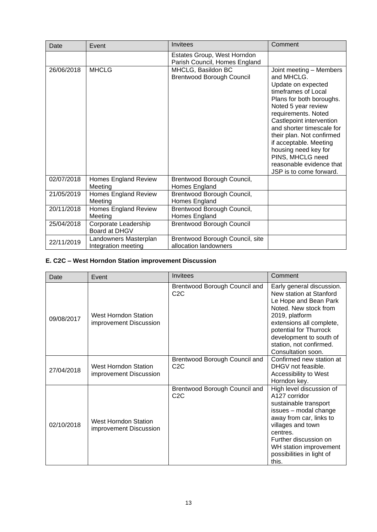| Date       | Event                                        | Invitees                                                     | Comment                                                                                                                                                                                                                                                                                                                                                                         |
|------------|----------------------------------------------|--------------------------------------------------------------|---------------------------------------------------------------------------------------------------------------------------------------------------------------------------------------------------------------------------------------------------------------------------------------------------------------------------------------------------------------------------------|
|            |                                              | Estates Group, West Horndon<br>Parish Council, Homes England |                                                                                                                                                                                                                                                                                                                                                                                 |
| 26/06/2018 | <b>MHCLG</b>                                 | MHCLG, Basildon BC<br><b>Brentwood Borough Council</b>       | Joint meeting - Members<br>and MHCLG.<br>Update on expected<br>timeframes of Local<br>Plans for both boroughs.<br>Noted 5 year review<br>requirements. Noted<br>Castlepoint intervention<br>and shorter timescale for<br>their plan. Not confirmed<br>if acceptable. Meeting<br>housing need key for<br>PINS, MHCLG need<br>reasonable evidence that<br>JSP is to come forward. |
| 02/07/2018 | <b>Homes England Review</b><br>Meeting       | Brentwood Borough Council,<br>Homes England                  |                                                                                                                                                                                                                                                                                                                                                                                 |
| 21/05/2019 | <b>Homes England Review</b><br>Meeting       | Brentwood Borough Council,<br>Homes England                  |                                                                                                                                                                                                                                                                                                                                                                                 |
| 20/11/2018 | <b>Homes England Review</b><br>Meeting       | Brentwood Borough Council,<br>Homes England                  |                                                                                                                                                                                                                                                                                                                                                                                 |
| 25/04/2018 | Corporate Leadership<br>Board at DHGV        | <b>Brentwood Borough Council</b>                             |                                                                                                                                                                                                                                                                                                                                                                                 |
| 22/11/2019 | Landowners Masterplan<br>Integration meeting | Brentwood Borough Council, site<br>allocation landowners     |                                                                                                                                                                                                                                                                                                                                                                                 |

#### **E. C2C – West Horndon Station improvement Discussion**

| Date       | Event                                                 | Invitees                                          | Comment                                                                                                                                                                                                                                                    |
|------------|-------------------------------------------------------|---------------------------------------------------|------------------------------------------------------------------------------------------------------------------------------------------------------------------------------------------------------------------------------------------------------------|
| 09/08/2017 | West Horndon Station<br>improvement Discussion        | Brentwood Borough Council and<br>C <sub>2</sub> C | Early general discussion.<br>New station at Stanford<br>Le Hope and Bean Park<br>Noted. New stock from<br>2019, platform<br>extensions all complete,<br>potential for Thurrock<br>development to south of<br>station, not confirmed.<br>Consultation soon. |
| 27/04/2018 | West Horndon Station<br>improvement Discussion        | Brentwood Borough Council and<br>C2C              | Confirmed new station at<br>DHGV not feasible.<br>Accessibility to West<br>Horndon key.                                                                                                                                                                    |
| 02/10/2018 | <b>West Horndon Station</b><br>improvement Discussion | Brentwood Borough Council and<br>C2C              | High level discussion of<br>A127 corridor<br>sustainable transport<br>issues - modal change<br>away from car, links to<br>villages and town<br>centres.<br>Further discussion on<br>WH station improvement<br>possibilities in light of<br>this.           |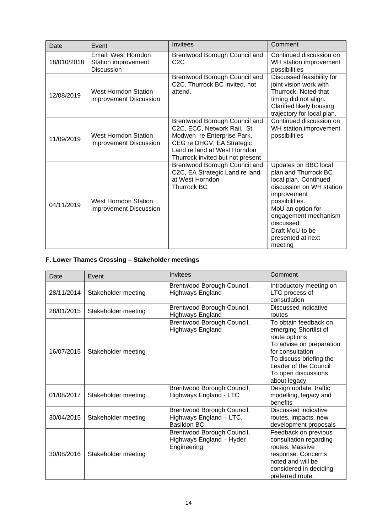| Date                                                         | Event                                                           | Invitees                                                                                                                                                                                   | Comment                                                                                                                                                                                                                                          |
|--------------------------------------------------------------|-----------------------------------------------------------------|--------------------------------------------------------------------------------------------------------------------------------------------------------------------------------------------|--------------------------------------------------------------------------------------------------------------------------------------------------------------------------------------------------------------------------------------------------|
| 18/010/2018                                                  | Email: West Horndon<br>Station improvement<br><b>Discussion</b> | Brentwood Borough Council and<br>C <sub>2</sub> C                                                                                                                                          | Continued discussion on<br>WH station improvement<br>possibilities                                                                                                                                                                               |
| West Horndon Station<br>12/08/2019<br>improvement Discussion |                                                                 | Brentwood Borough Council and<br>C2C. Thurrock BC invited, not<br>attend.                                                                                                                  | Discussed feasibility for<br>joint vision work with<br>Thurrock, Noted that<br>timing did not align.<br>Clarified likely housing<br>trajectory for local plan.                                                                                   |
| 11/09/2019                                                   | <b>West Horndon Station</b><br>improvement Discussion           | Brentwood Borough Council and<br>C2C, ECC, Network Rail, St<br>Modwen re Enterprise Park,<br>CEG re DHGV, EA Strategic<br>Land re land at West Horndon<br>Thurrock invited but not present | Continued discussion on<br>WH station improvement<br>possibilities                                                                                                                                                                               |
| 04/11/2019                                                   | <b>West Horndon Station</b><br>improvement Discussion           | Brentwood Borough Council and<br>C2C, EA Strategic Land re land<br>at West Horndon<br><b>Thurrock BC</b>                                                                                   | Updates on BBC local<br>plan and Thurrock BC<br>local plan. Continued<br>discussion on WH station<br>improvement<br>possibilities.<br>MoU an option for<br>engagement mechanism<br>discussed.<br>Draft MoU to be<br>presented at next<br>meeting |

#### **F. Lower Thames Crossing – Stakeholder meetings**

| Date       | Event               | Invitees                                                              | Comment                                                                                                                                                                                                    |
|------------|---------------------|-----------------------------------------------------------------------|------------------------------------------------------------------------------------------------------------------------------------------------------------------------------------------------------------|
| 28/11/2014 | Stakeholder meeting | Brentwood Borough Council,<br><b>Highways England</b>                 | Introductory meeting on<br>LTC process of<br>consutlation                                                                                                                                                  |
| 28/01/2015 | Stakeholder meeting | Brentwood Borough Council,<br>Highways England                        | Discussed indicative<br>routes                                                                                                                                                                             |
| 16/07/2015 | Stakeholder meeting | Brentwood Borough Council,<br><b>Highways England</b>                 | To obtain feedback on<br>emerging Shortlist of<br>route options<br>To advise on preparation<br>for consultation<br>To discuss briefing the<br>Leader of the Council<br>To open discussions<br>about legacy |
| 01/08/2017 | Stakeholder meeting | Brentwood Borough Council,<br>Highways England - LTC                  | Design update, traffic<br>modelling, legacy and<br>benefits                                                                                                                                                |
| 30/04/2015 | Stakeholder meeting | Brentwood Borough Council,<br>Highways England - LTC,<br>Basildon BC, | Discussed indicative<br>routes, impacts, new<br>development proposals                                                                                                                                      |
| 30/08/2016 | Stakeholder meeting | Brentwood Borough Council,<br>Highways England - Hyder<br>Engineering | Feedback on previous<br>consultation regarding<br>routes. Massive<br>response. Concerns<br>noted and will be<br>considered in deciding<br>preferred route.                                                 |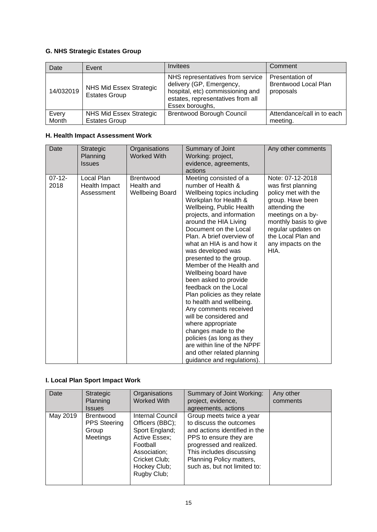#### **G. NHS Strategic Estates Group**

| Date      | Event                                           | Invitees                                                                                                                                                 | Comment                                                     |
|-----------|-------------------------------------------------|----------------------------------------------------------------------------------------------------------------------------------------------------------|-------------------------------------------------------------|
| 14/032019 | NHS Mid Essex Strategic<br><b>Estates Group</b> | NHS representatives from service<br>delivery (GP, Emergency,<br>hospital, etc) commissioning and<br>estates, representatives from all<br>Essex boroughs, | Presentation of<br><b>Brentwood Local Plan</b><br>proposals |
| Every     | NHS Mid Essex Strategic                         | <b>Brentwood Borough Council</b>                                                                                                                         | Attendance/call in to each                                  |
| Month     | <b>Estates Group</b>                            |                                                                                                                                                          | meeting.                                                    |

#### **H. Health Impact Assessment Work**

| Date                | Strategic<br>Planning<br><b>Issues</b>    | Organisations<br><b>Worked With</b>                      | Summary of Joint<br>Working: project,<br>evidence, agreements,<br>actions                                                                                                                                                                                                                                                                                                                                                                                                                                                                                                                                                                                                                                         | Any other comments                                                                                                                                                                                                         |
|---------------------|-------------------------------------------|----------------------------------------------------------|-------------------------------------------------------------------------------------------------------------------------------------------------------------------------------------------------------------------------------------------------------------------------------------------------------------------------------------------------------------------------------------------------------------------------------------------------------------------------------------------------------------------------------------------------------------------------------------------------------------------------------------------------------------------------------------------------------------------|----------------------------------------------------------------------------------------------------------------------------------------------------------------------------------------------------------------------------|
| $07 - 12 -$<br>2018 | Local Plan<br>Health Impact<br>Assessment | <b>Brentwood</b><br>Health and<br><b>Wellbeing Board</b> | Meeting consisted of a<br>number of Health &<br>Wellbeing topics including<br>Workplan for Health &<br>Wellbeing, Public Health<br>projects, and information<br>around the HIA Living<br>Document on the Local<br>Plan. A brief overview of<br>what an HIA is and how it<br>was developed was<br>presented to the group.<br>Member of the Health and<br>Wellbeing board have<br>been asked to provide<br>feedback on the Local<br>Plan policies as they relate<br>to health and wellbeing.<br>Any comments received<br>will be considered and<br>where appropriate<br>changes made to the<br>policies (as long as they<br>are within line of the NPPF<br>and other related planning<br>guidance and regulations). | Note: 07-12-2018<br>was first planning<br>policy met with the<br>group. Have been<br>attending the<br>meetings on a by-<br>monthly basis to give<br>regular updates on<br>the Local Plan and<br>any impacts on the<br>HIA. |

#### **I. Local Plan Sport Impact Work**

| Date     | Strategic<br>Planning<br><b>Issues</b>                       | Organisations<br><b>Worked With</b>                                                                                                                | Summary of Joint Working:<br>project, evidence,<br>agreements, actions                                                                                                                                                             | Any other<br>comments |
|----------|--------------------------------------------------------------|----------------------------------------------------------------------------------------------------------------------------------------------------|------------------------------------------------------------------------------------------------------------------------------------------------------------------------------------------------------------------------------------|-----------------------|
| May 2019 | <b>Brentwood</b><br><b>PPS Steering</b><br>Group<br>Meetings | Internal Council<br>Officers (BBC);<br>Sport England;<br>Active Essex;<br>Football<br>Association;<br>Cricket Club;<br>Hockey Club;<br>Rugby Club; | Group meets twice a year<br>to discuss the outcomes<br>and actions identified in the<br>PPS to ensure they are<br>progressed and realized.<br>This includes discussing<br>Planning Policy matters,<br>such as, but not limited to: |                       |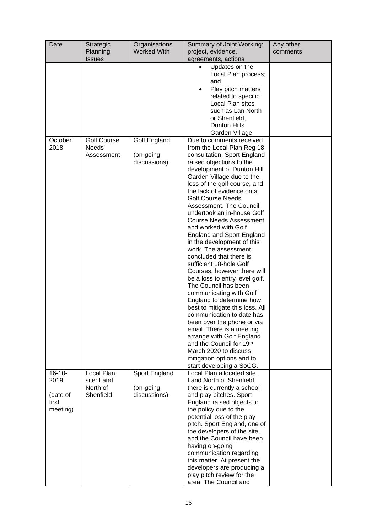| Date                                                 | Strategic<br>Planning                             | Organisations<br><b>Worked With</b>        | Summary of Joint Working:<br>project, evidence,                                                                                                                                                                                                                                                                                                                                                                                                                                                                                                                                                                                                                                                                                                                                                                                                                                                        | Any other<br>comments |
|------------------------------------------------------|---------------------------------------------------|--------------------------------------------|--------------------------------------------------------------------------------------------------------------------------------------------------------------------------------------------------------------------------------------------------------------------------------------------------------------------------------------------------------------------------------------------------------------------------------------------------------------------------------------------------------------------------------------------------------------------------------------------------------------------------------------------------------------------------------------------------------------------------------------------------------------------------------------------------------------------------------------------------------------------------------------------------------|-----------------------|
|                                                      | <b>Issues</b>                                     |                                            | agreements, actions                                                                                                                                                                                                                                                                                                                                                                                                                                                                                                                                                                                                                                                                                                                                                                                                                                                                                    |                       |
| October                                              | <b>Golf Course</b>                                | Golf England                               | Updates on the<br>$\bullet$<br>Local Plan process;<br>and<br>Play pitch matters<br>$\bullet$<br>related to specific<br>Local Plan sites<br>such as Lan North<br>or Shenfield,<br>Dunton Hills<br>Garden Village<br>Due to comments received                                                                                                                                                                                                                                                                                                                                                                                                                                                                                                                                                                                                                                                            |                       |
| 2018                                                 | <b>Needs</b><br>Assessment                        | (on-going<br>discussions)                  | from the Local Plan Reg 18<br>consultation, Sport England<br>raised objections to the<br>development of Dunton Hill<br>Garden Village due to the<br>loss of the golf course, and<br>the lack of evidence on a<br><b>Golf Course Needs</b><br>Assessment. The Council<br>undertook an in-house Golf<br><b>Course Needs Assessment</b><br>and worked with Golf<br><b>England and Sport England</b><br>in the development of this<br>work. The assessment<br>concluded that there is<br>sufficient 18-hole Golf<br>Courses, however there will<br>be a loss to entry level golf.<br>The Council has been<br>communicating with Golf<br>England to determine how<br>best to mitigate this loss. All<br>communication to date has<br>been over the phone or via<br>email. There is a meeting<br>arrange with Golf England<br>and the Council for 19th<br>March 2020 to discuss<br>mitigation options and to |                       |
| $16 - 10 -$<br>2019<br>(date of<br>first<br>meeting) | Local Plan<br>site: Land<br>North of<br>Shenfield | Sport England<br>(on-going<br>discussions) | start developing a SoCG.<br>Local Plan allocated site,<br>Land North of Shenfield,<br>there is currently a school<br>and play pitches. Sport<br>England raised objects to<br>the policy due to the<br>potential loss of the play<br>pitch. Sport England, one of<br>the developers of the site,<br>and the Council have been<br>having on-going<br>communication regarding<br>this matter. At present the<br>developers are producing a<br>play pitch review for the<br>area. The Council and                                                                                                                                                                                                                                                                                                                                                                                                          |                       |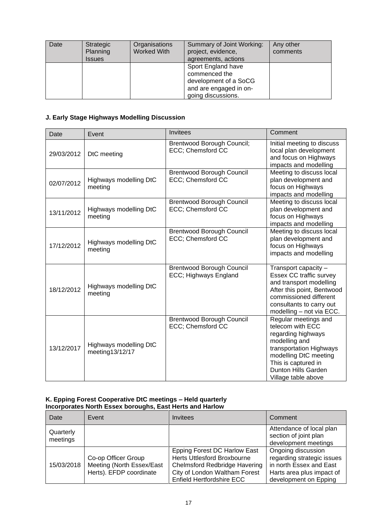| Date | Strategic<br>Planning<br><b>Issues</b> | Organisations<br>Worked With | Summary of Joint Working:<br>project, evidence,<br>agreements, actions                                       | Any other<br>comments |
|------|----------------------------------------|------------------------------|--------------------------------------------------------------------------------------------------------------|-----------------------|
|      |                                        |                              | Sport England have<br>commenced the<br>development of a SoCG<br>and are engaged in on-<br>going discussions. |                       |

#### **J. Early Stage Highways Modelling Discussion**

| Date       | Event                                     | Invitees                                                  | Comment                                                                                                                                                                                                  |
|------------|-------------------------------------------|-----------------------------------------------------------|----------------------------------------------------------------------------------------------------------------------------------------------------------------------------------------------------------|
| 29/03/2012 | DtC meeting                               | <b>Brentwood Borough Council;</b><br>ECC; Chemsford CC    | Initial meeting to discuss<br>local plan development<br>and focus on Highways<br>impacts and modelling                                                                                                   |
| 02/07/2012 | Highways modelling DtC<br>meeting         | <b>Brentwood Borough Council</b><br>ECC; Chemsford CC     | Meeting to discuss local<br>plan development and<br>focus on Highways<br>impacts and modelling                                                                                                           |
| 13/11/2012 | Highways modelling DtC<br>meeting         | <b>Brentwood Borough Council</b><br>ECC; Chemsford CC     | Meeting to discuss local<br>plan development and<br>focus on Highways<br>impacts and modelling                                                                                                           |
| 17/12/2012 | Highways modelling DtC<br>meeting         | <b>Brentwood Borough Council</b><br>ECC; Chemsford CC     | Meeting to discuss local<br>plan development and<br>focus on Highways<br>impacts and modelling                                                                                                           |
| 18/12/2012 | Highways modelling DtC<br>meeting         | <b>Brentwood Borough Council</b><br>ECC; Highways England | Transport capacity -<br>Essex CC traffic survey<br>and transport modelling<br>After this point, Bentwood<br>commissioned different<br>consultants to carry out<br>modelling - not via ECC.               |
| 13/12/2017 | Highways modelling DtC<br>meeting13/12/17 | <b>Brentwood Borough Council</b><br>ECC; Chemsford CC     | Regular meetings and<br>telecom with ECC<br>regarding highways<br>modelling and<br>transportation Highways<br>modelling DtC meeting<br>This is captured in<br>Dunton Hills Garden<br>Village table above |

#### **K. Epping Forest Cooperative DtC meetings – Held quarterly Incorporates North Essex boroughs, East Herts and Harlow**

| Date                  | Event                                                                       | Invitees                                                                                                                                                                        | Comment                                                                                                                           |
|-----------------------|-----------------------------------------------------------------------------|---------------------------------------------------------------------------------------------------------------------------------------------------------------------------------|-----------------------------------------------------------------------------------------------------------------------------------|
| Quarterly<br>meetings |                                                                             |                                                                                                                                                                                 | Attendance of local plan<br>section of joint plan<br>development meetings                                                         |
| 15/03/2018            | Co-op Officer Group<br>Meeting (North Essex/East<br>Herts). EFDP coordinate | <b>Epping Forest DC Harlow East</b><br><b>Herts Uttlesford Broxbourne</b><br><b>Chelmsford Redbridge Havering</b><br>City of London Waltham Forest<br>Enfield Hertfordshire ECC | Ongoing discussion<br>regarding strategic issues<br>in north Essex and East<br>Harts area plus impact of<br>development on Epping |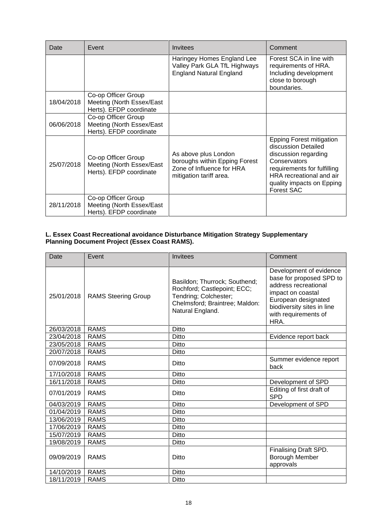| Date       | Event                                                                       | <b>Invitees</b>                                                                                               | Comment                                                                                                                                                                                                     |
|------------|-----------------------------------------------------------------------------|---------------------------------------------------------------------------------------------------------------|-------------------------------------------------------------------------------------------------------------------------------------------------------------------------------------------------------------|
|            |                                                                             | Haringey Homes England Lee<br>Valley Park GLA TfL Highways<br><b>England Natural England</b>                  | Forest SCA in line with<br>requirements of HRA.<br>Including development<br>close to borough<br>boundaries.                                                                                                 |
| 18/04/2018 | Co-op Officer Group<br>Meeting (North Essex/East<br>Herts). EFDP coordinate |                                                                                                               |                                                                                                                                                                                                             |
| 06/06/2018 | Co-op Officer Group<br>Meeting (North Essex/East<br>Herts). EFDP coordinate |                                                                                                               |                                                                                                                                                                                                             |
| 25/07/2018 | Co-op Officer Group<br>Meeting (North Essex/East<br>Herts). EFDP coordinate | As above plus London<br>boroughs within Epping Forest<br>Zone of Influence for HRA<br>mitigation tariff area. | <b>Epping Forest mitigation</b><br>discussion Detailed<br>discussion regarding<br>Conservators<br>requirements for fulfilling<br>HRA recreational and air<br>quality impacts on Epping<br><b>Forest SAC</b> |
| 28/11/2018 | Co-op Officer Group<br>Meeting (North Essex/East<br>Herts). EFDP coordinate |                                                                                                               |                                                                                                                                                                                                             |

#### **L. Essex Coast Recreational avoidance Disturbance Mitigation Strategy Supplementary Planning Document Project (Essex Coast RAMS).**

| Date       | Event                      | <b>Invitees</b>                                                                                                                             | Comment                                                                                                                                                                               |
|------------|----------------------------|---------------------------------------------------------------------------------------------------------------------------------------------|---------------------------------------------------------------------------------------------------------------------------------------------------------------------------------------|
| 25/01/2018 | <b>RAMS Steering Group</b> | Basildon; Thurrock; Southend;<br>Rochford; Castlepoint; ECC;<br>Tendring; Colchester;<br>Chelmsford; Braintree; Maldon:<br>Natural England. | Development of evidence<br>base for proposed SPD to<br>address recreational<br>impact on coastal<br>European designated<br>biodiversity sites in line<br>with requirements of<br>HRA. |
| 26/03/2018 | <b>RAMS</b>                | <b>Ditto</b>                                                                                                                                |                                                                                                                                                                                       |
| 23/04/2018 | <b>RAMS</b>                | <b>Ditto</b>                                                                                                                                | Evidence report back                                                                                                                                                                  |
| 23/05/2018 | <b>RAMS</b>                | <b>Ditto</b>                                                                                                                                |                                                                                                                                                                                       |
| 20/07/2018 | <b>RAMS</b>                | Ditto                                                                                                                                       |                                                                                                                                                                                       |
| 07/09/2018 | <b>RAMS</b>                | Ditto                                                                                                                                       | Summer evidence report<br>back                                                                                                                                                        |
| 17/10/2018 | <b>RAMS</b>                | <b>Ditto</b>                                                                                                                                |                                                                                                                                                                                       |
| 16/11/2018 | <b>RAMS</b>                | Ditto                                                                                                                                       | Development of SPD                                                                                                                                                                    |
| 07/01/2019 | <b>RAMS</b>                | Ditto                                                                                                                                       | Editing of first draft of<br><b>SPD</b>                                                                                                                                               |
| 04/03/2019 | <b>RAMS</b>                | Ditto                                                                                                                                       | Development of SPD                                                                                                                                                                    |
| 01/04/2019 | <b>RAMS</b>                | <b>Ditto</b>                                                                                                                                |                                                                                                                                                                                       |
| 13/06/2019 | <b>RAMS</b>                | Ditto                                                                                                                                       |                                                                                                                                                                                       |
| 17/06/2019 | <b>RAMS</b>                | Ditto                                                                                                                                       |                                                                                                                                                                                       |
| 15/07/2019 | <b>RAMS</b>                | Ditto                                                                                                                                       |                                                                                                                                                                                       |
| 19/08/2019 | <b>RAMS</b>                | Ditto                                                                                                                                       |                                                                                                                                                                                       |
| 09/09/2019 | <b>RAMS</b>                | Ditto                                                                                                                                       | Finalising Draft SPD.<br>Borough Member<br>approvals                                                                                                                                  |
| 14/10/2019 | <b>RAMS</b>                | <b>Ditto</b>                                                                                                                                |                                                                                                                                                                                       |
| 18/11/2019 | <b>RAMS</b>                | Ditto                                                                                                                                       |                                                                                                                                                                                       |